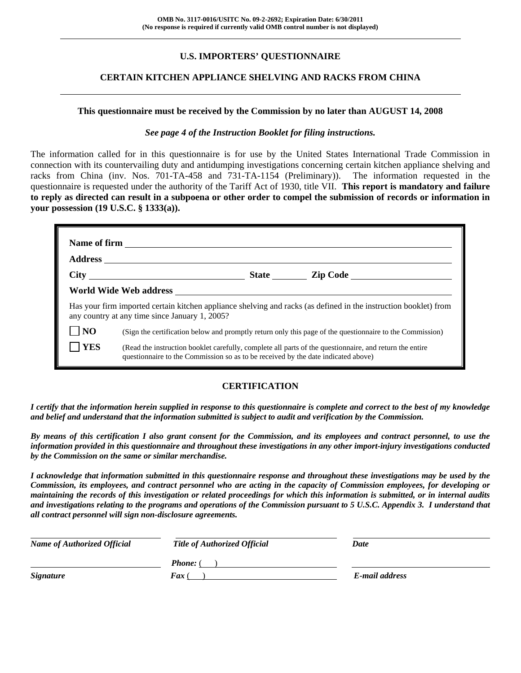# **U.S. IMPORTERS' QUESTIONNAIRE**

# **CERTAIN KITCHEN APPLIANCE SHELVING AND RACKS FROM CHINA**

#### **This questionnaire must be received by the Commission by no later than AUGUST 14, 2008**

#### *See page 4 of the Instruction Booklet for filing instructions.*

The information called for in this questionnaire is for use by the United States International Trade Commission in connection with its countervailing duty and antidumping investigations concerning certain kitchen appliance shelving and racks from China (inv. Nos. 701-TA-458 and 731-TA-1154 (Preliminary)). The information requested in the questionnaire is requested under the authority of the Tariff Act of 1930, title VII. **This report is mandatory and failure to reply as directed can result in a subpoena or other order to compel the submission of records or information in your possession (19 U.S.C. § 1333(a)).** 

|            | any country at any time since January 1, 2005?                                    | Has your firm imported certain kitchen appliance shelving and racks (as defined in the instruction booklet) from |
|------------|-----------------------------------------------------------------------------------|------------------------------------------------------------------------------------------------------------------|
| <b>NO</b>  |                                                                                   | (Sign the certification below and promptly return only this page of the questionnaire to the Commission)         |
| <b>YES</b> | questionnaire to the Commission so as to be received by the date indicated above) | (Read the instruction booklet carefully, complete all parts of the questionnaire, and return the entire          |

# **CERTIFICATION**

*I certify that the information herein supplied in response to this questionnaire is complete and correct to the best of my knowledge and belief and understand that the information submitted is subject to audit and verification by the Commission.* 

*By means of this certification I also grant consent for the Commission, and its employees and contract personnel, to use the information provided in this questionnaire and throughout these investigations in any other import-injury investigations conducted by the Commission on the same or similar merchandise.* 

*I acknowledge that information submitted in this questionnaire response and throughout these investigations may be used by the Commission, its employees, and contract personnel who are acting in the capacity of Commission employees, for developing or maintaining the records of this investigation or related proceedings for which this information is submitted, or in internal audits and investigations relating to the programs and operations of the Commission pursuant to 5 U.S.C. Appendix 3. I understand that all contract personnel will sign non-disclosure agreements.* 

| <b>Name of Authorized Official</b> | <b>Title of Authorized Official</b> | Date           |  |
|------------------------------------|-------------------------------------|----------------|--|
|                                    | <b>Phone:</b> (                     |                |  |
| <b>Signature</b>                   | <b>Fax</b> (                        | E-mail address |  |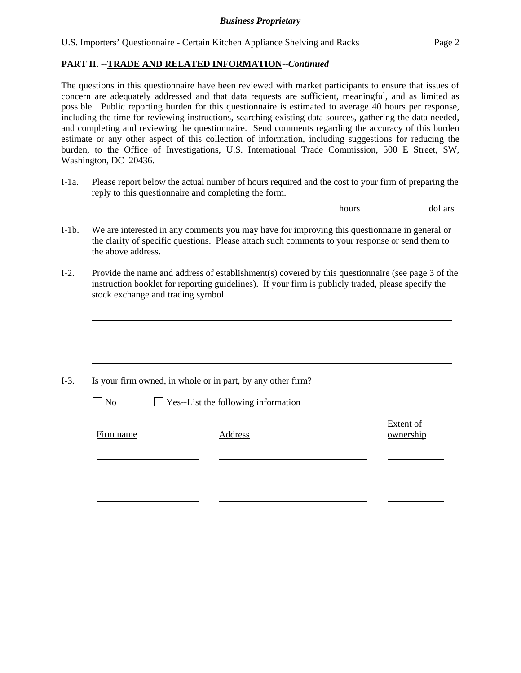# **PART II. --TRADE AND RELATED INFORMATION--***Continued*

The questions in this questionnaire have been reviewed with market participants to ensure that issues of concern are adequately addressed and that data requests are sufficient, meaningful, and as limited as possible. Public reporting burden for this questionnaire is estimated to average 40 hours per response, including the time for reviewing instructions, searching existing data sources, gathering the data needed, and completing and reviewing the questionnaire. Send comments regarding the accuracy of this burden estimate or any other aspect of this collection of information, including suggestions for reducing the burden, to the Office of Investigations, U.S. International Trade Commission, 500 E Street, SW, Washington, DC 20436.

I-1a. Please report below the actual number of hours required and the cost to your firm of preparing the reply to this questionnaire and completing the form.

hours dollars

- I-1b. We are interested in any comments you may have for improving this questionnaire in general or the clarity of specific questions. Please attach such comments to your response or send them to the above address.
- I-2. Provide the name and address of establishment(s) covered by this questionnaire (see page 3 of the instruction booklet for reporting guidelines). If your firm is publicly traded, please specify the stock exchange and trading symbol.

|           | Is your firm owned, in whole or in part, by any other firm? |                               |  |  |  |  |
|-----------|-------------------------------------------------------------|-------------------------------|--|--|--|--|
| $\Box$ No | $\Box$ Yes--List the following information                  |                               |  |  |  |  |
| Firm name | Address                                                     | <b>Extent of</b><br>ownership |  |  |  |  |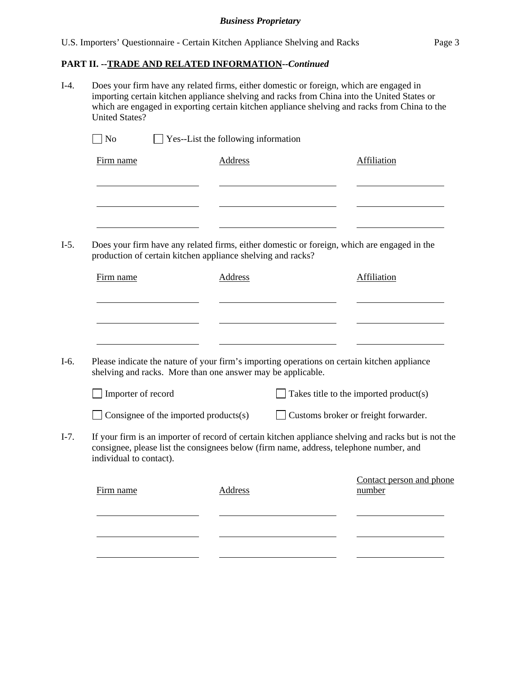#### **PART II. --TRADE AND RELATED INFORMATION--***Continued*

I-4. Does your firm have any related firms, either domestic or foreign, which are engaged in importing certain kitchen appliance shelving and racks from China into the United States or which are engaged in exporting certain kitchen appliance shelving and racks from China to the United States?

| $\Box$ No | $\Box$ Yes--List the following information |             |
|-----------|--------------------------------------------|-------------|
| Firm name | Address                                    | Affiliation |
|           |                                            |             |
|           |                                            |             |
|           |                                            |             |
|           |                                            |             |

I-5. Does your firm have any related firms, either domestic or foreign, which are engaged in the production of certain kitchen appliance shelving and racks?

| Firm name | Address | Affiliation |
|-----------|---------|-------------|
|           |         |             |
|           |         |             |
|           |         |             |

I-6. Please indicate the nature of your firm's importing operations on certain kitchen appliance shelving and racks. More than one answer may be applicable.

| $\Box$ Importer of record | $\Box$ Takes title to the imported product(s) |
|---------------------------|-----------------------------------------------|
|                           |                                               |

| $\Box$ Consignee of the imported products(s) | Customs broker or freight forwarder. |
|----------------------------------------------|--------------------------------------|
|----------------------------------------------|--------------------------------------|

I-7. If your firm is an importer of record of certain kitchen appliance shelving and racks but is not the consignee, please list the consignees below (firm name, address, telephone number, and individual to contact).

| Firm name | Address | Contact person and phone<br>number |
|-----------|---------|------------------------------------|
|           |         |                                    |
|           |         |                                    |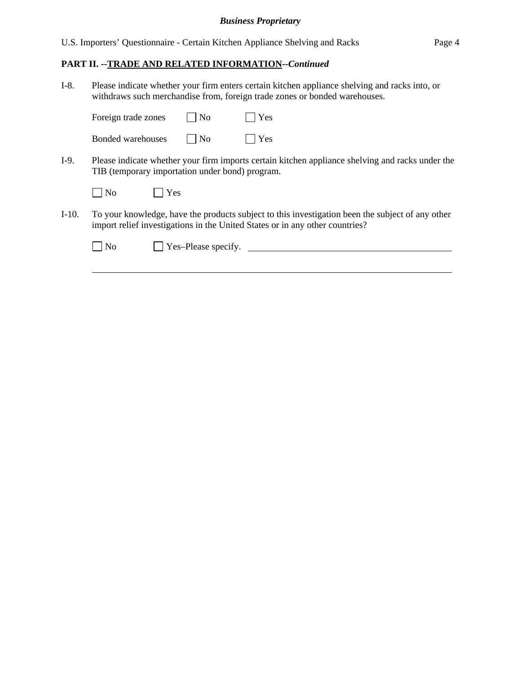# **PART II. --TRADE AND RELATED INFORMATION--***Continued*

I-8. Please indicate whether your firm enters certain kitchen appliance shelving and racks into, or withdraws such merchandise from, foreign trade zones or bonded warehouses.

|         | Foreign trade zones                             |     | N <sub>0</sub>                    | Yes                                                                                                                                                                              |
|---------|-------------------------------------------------|-----|-----------------------------------|----------------------------------------------------------------------------------------------------------------------------------------------------------------------------------|
|         | Bonded warehouses                               |     | <b>No</b>                         | Yes                                                                                                                                                                              |
| I-9.    | TIB (temporary importation under bond) program. |     |                                   | Please indicate whether your firm imports certain kitchen appliance shelving and racks under the                                                                                 |
|         | $ $ No                                          | Yes |                                   |                                                                                                                                                                                  |
| $I-10.$ |                                                 |     |                                   | To your knowledge, have the products subject to this investigation been the subject of any other<br>import relief investigations in the United States or in any other countries? |
|         | N <sub>0</sub>                                  |     | $\Box$ Yes-Please specify. $\Box$ |                                                                                                                                                                                  |
|         |                                                 |     |                                   |                                                                                                                                                                                  |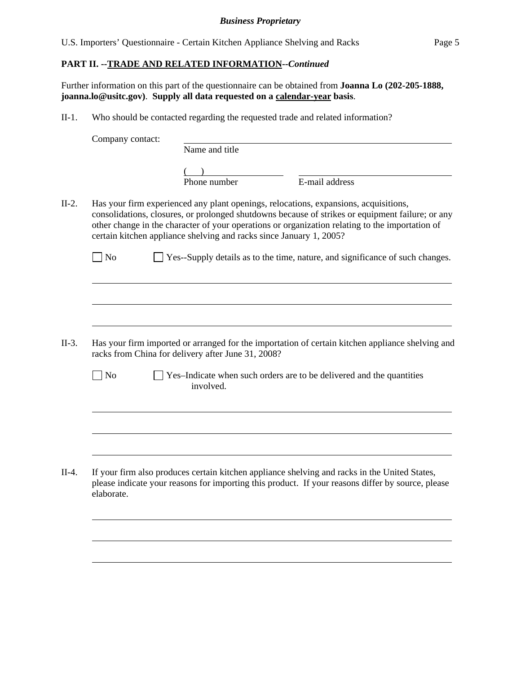$\overline{a}$ 

 $\overline{a}$ 

Further information on this part of the questionnaire can be obtained from **Joanna Lo (202-205-1888, joanna.lo@usitc.gov)**. **Supply all data requested on a calendar-year basis**.

II-1. Who should be contacted regarding the requested trade and related information?

|         | Company contact: |                                                                     |                                                                                                                                                                                                                                                                                             |  |
|---------|------------------|---------------------------------------------------------------------|---------------------------------------------------------------------------------------------------------------------------------------------------------------------------------------------------------------------------------------------------------------------------------------------|--|
|         |                  | Name and title                                                      |                                                                                                                                                                                                                                                                                             |  |
|         |                  | Phone number                                                        | E-mail address                                                                                                                                                                                                                                                                              |  |
| $II-2.$ |                  | certain kitchen appliance shelving and racks since January 1, 2005? | Has your firm experienced any plant openings, relocations, expansions, acquisitions,<br>consolidations, closures, or prolonged shutdowns because of strikes or equipment failure; or any<br>other change in the character of your operations or organization relating to the importation of |  |
|         | N <sub>o</sub>   |                                                                     | Yes--Supply details as to the time, nature, and significance of such changes.                                                                                                                                                                                                               |  |
|         |                  |                                                                     |                                                                                                                                                                                                                                                                                             |  |
| $II-3.$ |                  | racks from China for delivery after June 31, 2008?                  | Has your firm imported or arranged for the importation of certain kitchen appliance shelving and                                                                                                                                                                                            |  |
|         | <b>No</b>        | involved.                                                           | Yes-Indicate when such orders are to be delivered and the quantities                                                                                                                                                                                                                        |  |
|         |                  |                                                                     |                                                                                                                                                                                                                                                                                             |  |
| $II-4.$ | elaborate.       |                                                                     | If your firm also produces certain kitchen appliance shelving and racks in the United States,<br>please indicate your reasons for importing this product. If your reasons differ by source, please                                                                                          |  |
|         |                  |                                                                     |                                                                                                                                                                                                                                                                                             |  |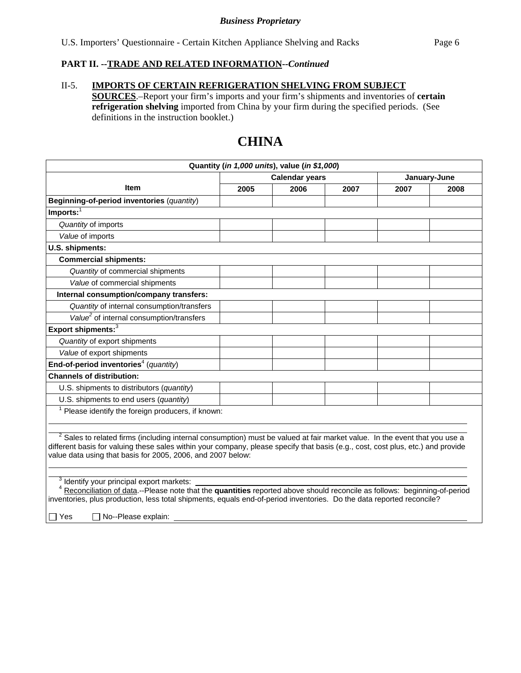# II-5. **IMPORTS OF CERTAIN REFRIGERATION SHELVING FROM SUBJECT**

**SOURCES**.–Report your firm's imports and your firm's shipments and inventories of **certain refrigeration shelving** imported from China by your firm during the specified periods. (See definitions in the instruction booklet.)

# **CHINA**

| Quantity (in 1,000 units), value (in \$1,000)                                                                                                                                                                                                                                                                                                  |                       |      |      |              |      |  |
|------------------------------------------------------------------------------------------------------------------------------------------------------------------------------------------------------------------------------------------------------------------------------------------------------------------------------------------------|-----------------------|------|------|--------------|------|--|
|                                                                                                                                                                                                                                                                                                                                                | <b>Calendar years</b> |      |      | January-June |      |  |
| <b>Item</b>                                                                                                                                                                                                                                                                                                                                    | 2005                  | 2006 | 2007 | 2007         | 2008 |  |
| Beginning-of-period inventories (quantity)                                                                                                                                                                                                                                                                                                     |                       |      |      |              |      |  |
| $Imports:$ <sup>1</sup>                                                                                                                                                                                                                                                                                                                        |                       |      |      |              |      |  |
| Quantity of imports                                                                                                                                                                                                                                                                                                                            |                       |      |      |              |      |  |
| Value of imports                                                                                                                                                                                                                                                                                                                               |                       |      |      |              |      |  |
| U.S. shipments:                                                                                                                                                                                                                                                                                                                                |                       |      |      |              |      |  |
| <b>Commercial shipments:</b>                                                                                                                                                                                                                                                                                                                   |                       |      |      |              |      |  |
| Quantity of commercial shipments                                                                                                                                                                                                                                                                                                               |                       |      |      |              |      |  |
| Value of commercial shipments                                                                                                                                                                                                                                                                                                                  |                       |      |      |              |      |  |
| Internal consumption/company transfers:                                                                                                                                                                                                                                                                                                        |                       |      |      |              |      |  |
| Quantity of internal consumption/transfers                                                                                                                                                                                                                                                                                                     |                       |      |      |              |      |  |
| Value <sup>2</sup> of internal consumption/transfers                                                                                                                                                                                                                                                                                           |                       |      |      |              |      |  |
| Export shipments: $3$                                                                                                                                                                                                                                                                                                                          |                       |      |      |              |      |  |
| Quantity of export shipments                                                                                                                                                                                                                                                                                                                   |                       |      |      |              |      |  |
| Value of export shipments                                                                                                                                                                                                                                                                                                                      |                       |      |      |              |      |  |
| End-of-period inventories <sup>4</sup> (quantity)                                                                                                                                                                                                                                                                                              |                       |      |      |              |      |  |
| <b>Channels of distribution:</b>                                                                                                                                                                                                                                                                                                               |                       |      |      |              |      |  |
| U.S. shipments to distributors (quantity)                                                                                                                                                                                                                                                                                                      |                       |      |      |              |      |  |
| U.S. shipments to end users (quantity)                                                                                                                                                                                                                                                                                                         |                       |      |      |              |      |  |
| $1$ Please identify the foreign producers, if known:                                                                                                                                                                                                                                                                                           |                       |      |      |              |      |  |
|                                                                                                                                                                                                                                                                                                                                                |                       |      |      |              |      |  |
| $2$ Sales to related firms (including internal consumption) must be valued at fair market value. In the event that you use a<br>different basis for valuing these sales within your company, please specify that basis (e.g., cost, cost plus, etc.) and provide<br>value data using that basis for 2005, 2006, and 2007 below:                |                       |      |      |              |      |  |
| <sup>3</sup> Identify your principal export markets:<br>Reconciliation of data.--Please note that the quantities reported above should reconcile as follows: beginning-of-period<br>inventories, plus production, less total shipments, equals end-of-period inventories. Do the data reported reconcile?<br>No--Please explain:<br>$\Box$ Yes |                       |      |      |              |      |  |
|                                                                                                                                                                                                                                                                                                                                                |                       |      |      |              |      |  |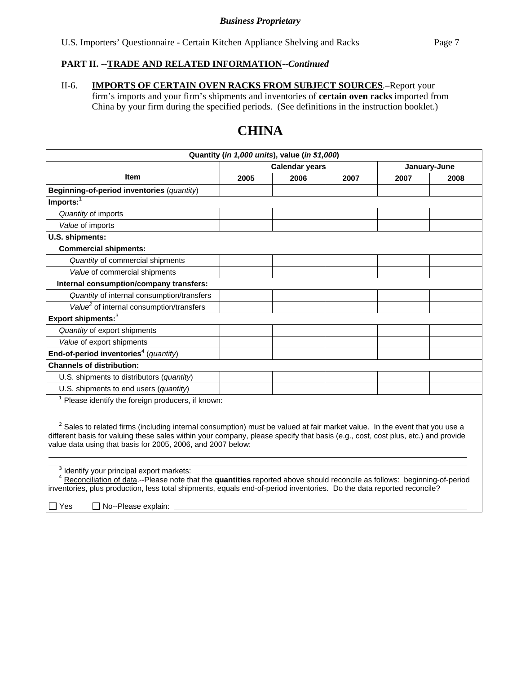II-6. **IMPORTS OF CERTAIN OVEN RACKS FROM SUBJECT SOURCES**.–Report your firm's imports and your firm's shipments and inventories of **certain oven racks** imported from China by your firm during the specified periods. (See definitions in the instruction booklet.)

# **CHINA**

| Quantity (in 1,000 units), value (in \$1,000)                                                                                                                                                                                                                                                                                            |                       |      |      |      |              |  |
|------------------------------------------------------------------------------------------------------------------------------------------------------------------------------------------------------------------------------------------------------------------------------------------------------------------------------------------|-----------------------|------|------|------|--------------|--|
|                                                                                                                                                                                                                                                                                                                                          | <b>Calendar years</b> |      |      |      | January-June |  |
| <b>Item</b>                                                                                                                                                                                                                                                                                                                              | 2005                  | 2006 | 2007 | 2007 | 2008         |  |
| Beginning-of-period inventories (quantity)                                                                                                                                                                                                                                                                                               |                       |      |      |      |              |  |
| Imports: $\overline{1}$                                                                                                                                                                                                                                                                                                                  |                       |      |      |      |              |  |
| Quantity of imports                                                                                                                                                                                                                                                                                                                      |                       |      |      |      |              |  |
| Value of imports                                                                                                                                                                                                                                                                                                                         |                       |      |      |      |              |  |
| U.S. shipments:                                                                                                                                                                                                                                                                                                                          |                       |      |      |      |              |  |
| <b>Commercial shipments:</b>                                                                                                                                                                                                                                                                                                             |                       |      |      |      |              |  |
| Quantity of commercial shipments                                                                                                                                                                                                                                                                                                         |                       |      |      |      |              |  |
| Value of commercial shipments                                                                                                                                                                                                                                                                                                            |                       |      |      |      |              |  |
| Internal consumption/company transfers:                                                                                                                                                                                                                                                                                                  |                       |      |      |      |              |  |
| Quantity of internal consumption/transfers                                                                                                                                                                                                                                                                                               |                       |      |      |      |              |  |
| Value <sup>2</sup> of internal consumption/transfers                                                                                                                                                                                                                                                                                     |                       |      |      |      |              |  |
| Export shipments: <sup>3</sup>                                                                                                                                                                                                                                                                                                           |                       |      |      |      |              |  |
| Quantity of export shipments                                                                                                                                                                                                                                                                                                             |                       |      |      |      |              |  |
| Value of export shipments                                                                                                                                                                                                                                                                                                                |                       |      |      |      |              |  |
| End-of-period inventories <sup>4</sup> (quantity)                                                                                                                                                                                                                                                                                        |                       |      |      |      |              |  |
| <b>Channels of distribution:</b>                                                                                                                                                                                                                                                                                                         |                       |      |      |      |              |  |
| U.S. shipments to distributors (quantity)                                                                                                                                                                                                                                                                                                |                       |      |      |      |              |  |
| U.S. shipments to end users (quantity)                                                                                                                                                                                                                                                                                                   |                       |      |      |      |              |  |
| $1$ Please identify the foreign producers, if known:                                                                                                                                                                                                                                                                                     |                       |      |      |      |              |  |
|                                                                                                                                                                                                                                                                                                                                          |                       |      |      |      |              |  |
| <sup>2</sup> Sales to related firms (including internal consumption) must be valued at fair market value. In the event that you use a<br>different basis for valuing these sales within your company, please specify that basis (e.g., cost, cost plus, etc.) and provide<br>value data using that basis for 2005, 2006, and 2007 below: |                       |      |      |      |              |  |
| <sup>3</sup> Identify your principal export markets:                                                                                                                                                                                                                                                                                     |                       |      |      |      |              |  |
| Reconciliation of data.--Please note that the quantities reported above should reconcile as follows: beginning-of-period                                                                                                                                                                                                                 |                       |      |      |      |              |  |
| inventories, plus production, less total shipments, equals end-of-period inventories. Do the data reported reconcile?                                                                                                                                                                                                                    |                       |      |      |      |              |  |
| $\Box$ Yes<br>$\Box$ No--Please explain:                                                                                                                                                                                                                                                                                                 |                       |      |      |      |              |  |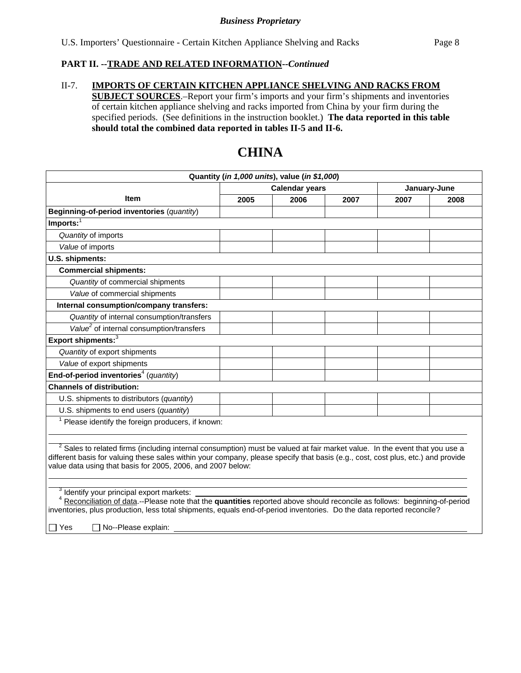# II-7. **IMPORTS OF CERTAIN KITCHEN APPLIANCE SHELVING AND RACKS FROM SUBJECT SOURCES**.–Report your firm's imports and your firm's shipments and inventories of certain kitchen appliance shelving and racks imported from China by your firm during the specified periods. (See definitions in the instruction booklet.) **The data reported in this table should total the combined data reported in tables II-5 and II-6.**

# **CHINA**

|                                                                                                                                                                                                                                                                                                                                                  |      | Quantity (in 1,000 units), value (in \$1,000) |      |              |      |
|--------------------------------------------------------------------------------------------------------------------------------------------------------------------------------------------------------------------------------------------------------------------------------------------------------------------------------------------------|------|-----------------------------------------------|------|--------------|------|
|                                                                                                                                                                                                                                                                                                                                                  |      | <b>Calendar years</b>                         |      | January-June |      |
| <b>Item</b>                                                                                                                                                                                                                                                                                                                                      | 2005 | 2006                                          | 2007 | 2007         | 2008 |
| Beginning-of-period inventories (quantity)                                                                                                                                                                                                                                                                                                       |      |                                               |      |              |      |
| $Imports:$ <sup>1</sup>                                                                                                                                                                                                                                                                                                                          |      |                                               |      |              |      |
| Quantity of imports                                                                                                                                                                                                                                                                                                                              |      |                                               |      |              |      |
| Value of imports                                                                                                                                                                                                                                                                                                                                 |      |                                               |      |              |      |
| U.S. shipments:                                                                                                                                                                                                                                                                                                                                  |      |                                               |      |              |      |
| <b>Commercial shipments:</b>                                                                                                                                                                                                                                                                                                                     |      |                                               |      |              |      |
| Quantity of commercial shipments                                                                                                                                                                                                                                                                                                                 |      |                                               |      |              |      |
| Value of commercial shipments                                                                                                                                                                                                                                                                                                                    |      |                                               |      |              |      |
| Internal consumption/company transfers:                                                                                                                                                                                                                                                                                                          |      |                                               |      |              |      |
| Quantity of internal consumption/transfers                                                                                                                                                                                                                                                                                                       |      |                                               |      |              |      |
| Value <sup>2</sup> of internal consumption/transfers                                                                                                                                                                                                                                                                                             |      |                                               |      |              |      |
| Export shipments: <sup>3</sup>                                                                                                                                                                                                                                                                                                                   |      |                                               |      |              |      |
| Quantity of export shipments                                                                                                                                                                                                                                                                                                                     |      |                                               |      |              |      |
| Value of export shipments                                                                                                                                                                                                                                                                                                                        |      |                                               |      |              |      |
| End-of-period inventories <sup>4</sup> (quantity)                                                                                                                                                                                                                                                                                                |      |                                               |      |              |      |
| <b>Channels of distribution:</b>                                                                                                                                                                                                                                                                                                                 |      |                                               |      |              |      |
| U.S. shipments to distributors (quantity)                                                                                                                                                                                                                                                                                                        |      |                                               |      |              |      |
| U.S. shipments to end users (quantity)                                                                                                                                                                                                                                                                                                           |      |                                               |      |              |      |
| $1$ Please identify the foreign producers, if known:                                                                                                                                                                                                                                                                                             |      |                                               |      |              |      |
| <sup>2</sup> Sales to related firms (including internal consumption) must be valued at fair market value. In the event that you use a<br>different basis for valuing these sales within your company, please specify that basis (e.g., cost, cost plus, etc.) and provide<br>value data using that basis for 2005, 2006, and 2007 below:         |      |                                               |      |              |      |
| <sup>3</sup> Identify your principal export markets:<br>Reconciliation of data.--Please note that the quantities reported above should reconcile as follows: beginning-of-period<br>inventories, plus production, less total shipments, equals end-of-period inventories. Do the data reported reconcile?<br>$\Box$ Yes<br>□ No--Please explain: |      |                                               |      |              |      |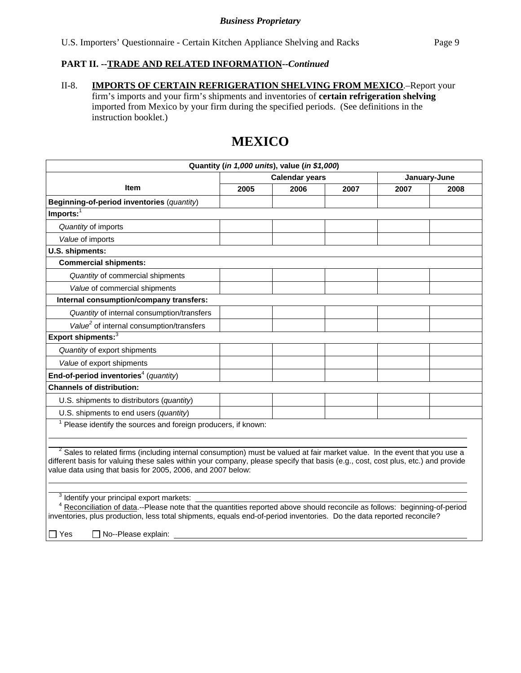II-8. **IMPORTS OF CERTAIN REFRIGERATION SHELVING FROM MEXICO**.–Report your firm's imports and your firm's shipments and inventories of **certain refrigeration shelving**  imported from Mexico by your firm during the specified periods. (See definitions in the instruction booklet.)

|                                                                                                                                                                                                                                                                                                                             |      | Quantity (in 1,000 units), value (in \$1,000) |      |      |              |
|-----------------------------------------------------------------------------------------------------------------------------------------------------------------------------------------------------------------------------------------------------------------------------------------------------------------------------|------|-----------------------------------------------|------|------|--------------|
|                                                                                                                                                                                                                                                                                                                             |      | <b>Calendar years</b>                         |      |      | January-June |
| <b>Item</b>                                                                                                                                                                                                                                                                                                                 | 2005 | 2006                                          | 2007 | 2007 | 2008         |
| Beginning-of-period inventories (quantity)                                                                                                                                                                                                                                                                                  |      |                                               |      |      |              |
| $Imports:$ <sup>1</sup>                                                                                                                                                                                                                                                                                                     |      |                                               |      |      |              |
| Quantity of imports                                                                                                                                                                                                                                                                                                         |      |                                               |      |      |              |
| Value of imports                                                                                                                                                                                                                                                                                                            |      |                                               |      |      |              |
| U.S. shipments:                                                                                                                                                                                                                                                                                                             |      |                                               |      |      |              |
| <b>Commercial shipments:</b>                                                                                                                                                                                                                                                                                                |      |                                               |      |      |              |
| Quantity of commercial shipments                                                                                                                                                                                                                                                                                            |      |                                               |      |      |              |
| Value of commercial shipments                                                                                                                                                                                                                                                                                               |      |                                               |      |      |              |
| Internal consumption/company transfers:                                                                                                                                                                                                                                                                                     |      |                                               |      |      |              |
| Quantity of internal consumption/transfers                                                                                                                                                                                                                                                                                  |      |                                               |      |      |              |
| Value <sup>2</sup> of internal consumption/transfers                                                                                                                                                                                                                                                                        |      |                                               |      |      |              |
| Export shipments: <sup>3</sup>                                                                                                                                                                                                                                                                                              |      |                                               |      |      |              |
| Quantity of export shipments                                                                                                                                                                                                                                                                                                |      |                                               |      |      |              |
| Value of export shipments                                                                                                                                                                                                                                                                                                   |      |                                               |      |      |              |
| End-of-period inventories <sup>4</sup> (quantity)                                                                                                                                                                                                                                                                           |      |                                               |      |      |              |
| <b>Channels of distribution:</b>                                                                                                                                                                                                                                                                                            |      |                                               |      |      |              |
| U.S. shipments to distributors (quantity)                                                                                                                                                                                                                                                                                   |      |                                               |      |      |              |
| U.S. shipments to end users (quantity)                                                                                                                                                                                                                                                                                      |      |                                               |      |      |              |
| Please identify the sources and foreign producers, if known:                                                                                                                                                                                                                                                                |      |                                               |      |      |              |
|                                                                                                                                                                                                                                                                                                                             |      |                                               |      |      |              |
| Sales to related firms (including internal consumption) must be valued at fair market value. In the event that you use a<br>different basis for valuing these sales within your company, please specify that basis (e.g., cost, cost plus, etc.) and provide<br>value data using that basis for 2005, 2006, and 2007 below: |      |                                               |      |      |              |
| 3<br>Identify your principal export markets:                                                                                                                                                                                                                                                                                |      |                                               |      |      |              |

# **MEXICO**

<sup>4</sup> Reconciliation of data.--Please note that the quantities reported above should reconcile as follows: beginning-of-period inventories, plus production, less total shipments, equals end-of-period inventories. Do the data reported reconcile?

 $\Box$  Yes  $\Box$  No--Please explain: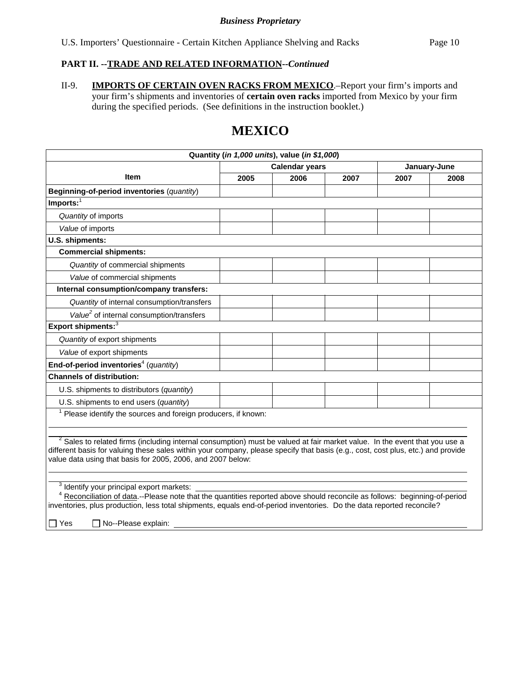II-9. **IMPORTS OF CERTAIN OVEN RACKS FROM MEXICO**.–Report your firm's imports and your firm's shipments and inventories of **certain oven racks** imported from Mexico by your firm during the specified periods. (See definitions in the instruction booklet.)

# **MEXICO**

|                                                                                                                                                                                                                                                                                                                                          |                                       | Quantity (in 1,000 units), value (in \$1,000) |      |      |      |  |
|------------------------------------------------------------------------------------------------------------------------------------------------------------------------------------------------------------------------------------------------------------------------------------------------------------------------------------------|---------------------------------------|-----------------------------------------------|------|------|------|--|
|                                                                                                                                                                                                                                                                                                                                          | <b>Calendar years</b><br>January-June |                                               |      |      |      |  |
| Item                                                                                                                                                                                                                                                                                                                                     | 2005                                  | 2006                                          | 2007 | 2007 | 2008 |  |
| Beginning-of-period inventories (quantity)                                                                                                                                                                                                                                                                                               |                                       |                                               |      |      |      |  |
| $Imports:$ <sup>1</sup>                                                                                                                                                                                                                                                                                                                  |                                       |                                               |      |      |      |  |
| Quantity of imports                                                                                                                                                                                                                                                                                                                      |                                       |                                               |      |      |      |  |
| Value of imports                                                                                                                                                                                                                                                                                                                         |                                       |                                               |      |      |      |  |
| U.S. shipments:                                                                                                                                                                                                                                                                                                                          |                                       |                                               |      |      |      |  |
| <b>Commercial shipments:</b>                                                                                                                                                                                                                                                                                                             |                                       |                                               |      |      |      |  |
| Quantity of commercial shipments                                                                                                                                                                                                                                                                                                         |                                       |                                               |      |      |      |  |
| Value of commercial shipments                                                                                                                                                                                                                                                                                                            |                                       |                                               |      |      |      |  |
| Internal consumption/company transfers:                                                                                                                                                                                                                                                                                                  |                                       |                                               |      |      |      |  |
| Quantity of internal consumption/transfers                                                                                                                                                                                                                                                                                               |                                       |                                               |      |      |      |  |
| Value <sup>2</sup> of internal consumption/transfers                                                                                                                                                                                                                                                                                     |                                       |                                               |      |      |      |  |
| Export shipments: <sup>3</sup>                                                                                                                                                                                                                                                                                                           |                                       |                                               |      |      |      |  |
| Quantity of export shipments                                                                                                                                                                                                                                                                                                             |                                       |                                               |      |      |      |  |
| Value of export shipments                                                                                                                                                                                                                                                                                                                |                                       |                                               |      |      |      |  |
| End-of-period inventories <sup>4</sup> (quantity)                                                                                                                                                                                                                                                                                        |                                       |                                               |      |      |      |  |
| <b>Channels of distribution:</b>                                                                                                                                                                                                                                                                                                         |                                       |                                               |      |      |      |  |
| U.S. shipments to distributors (quantity)                                                                                                                                                                                                                                                                                                |                                       |                                               |      |      |      |  |
| U.S. shipments to end users (quantity)                                                                                                                                                                                                                                                                                                   |                                       |                                               |      |      |      |  |
| $1$ Please identify the sources and foreign producers, if known:                                                                                                                                                                                                                                                                         |                                       |                                               |      |      |      |  |
|                                                                                                                                                                                                                                                                                                                                          |                                       |                                               |      |      |      |  |
| <sup>2</sup> Sales to related firms (including internal consumption) must be valued at fair market value. In the event that you use a<br>different basis for valuing these sales within your company, please specify that basis (e.g., cost, cost plus, etc.) and provide<br>value data using that basis for 2005, 2006, and 2007 below: |                                       |                                               |      |      |      |  |
| <sup>3</sup> Identify your principal export markets:<br><sup>4</sup> Reconciliation of data.--Please note that the quantities reported above should reconcile as follows: beginning-of-period<br>inventories, plus production, less total shipments, equals end-of-period inventories. Do the data reported reconcile?                   |                                       |                                               |      |      |      |  |
| No--Please explain:<br>$\Box$ Yes                                                                                                                                                                                                                                                                                                        |                                       |                                               |      |      |      |  |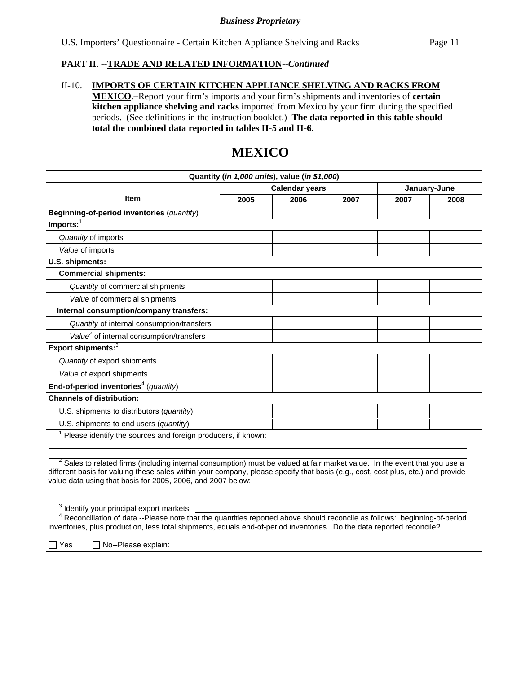# II-10. **IMPORTS OF CERTAIN KITCHEN APPLIANCE SHELVING AND RACKS FROM**

**MEXICO**.–Report your firm's imports and your firm's shipments and inventories of **certain kitchen appliance shelving and racks** imported from Mexico by your firm during the specified periods. (See definitions in the instruction booklet.) **The data reported in this table should total the combined data reported in tables II-5 and II-6.**

# **MEXICO**

|                                                                                                                                       |      | Quantity (in 1,000 units), value (in \$1,000) |      |              |      |
|---------------------------------------------------------------------------------------------------------------------------------------|------|-----------------------------------------------|------|--------------|------|
|                                                                                                                                       |      | <b>Calendar years</b>                         |      | January-June |      |
| <b>Item</b>                                                                                                                           | 2005 | 2006                                          | 2007 | 2007         | 2008 |
| Beginning-of-period inventories (quantity)                                                                                            |      |                                               |      |              |      |
| $Imports:$ <sup>1</sup>                                                                                                               |      |                                               |      |              |      |
| Quantity of imports                                                                                                                   |      |                                               |      |              |      |
| Value of imports                                                                                                                      |      |                                               |      |              |      |
| U.S. shipments:                                                                                                                       |      |                                               |      |              |      |
| <b>Commercial shipments:</b>                                                                                                          |      |                                               |      |              |      |
| Quantity of commercial shipments                                                                                                      |      |                                               |      |              |      |
| Value of commercial shipments                                                                                                         |      |                                               |      |              |      |
| Internal consumption/company transfers:                                                                                               |      |                                               |      |              |      |
| Quantity of internal consumption/transfers                                                                                            |      |                                               |      |              |      |
| Value <sup>2</sup> of internal consumption/transfers                                                                                  |      |                                               |      |              |      |
| Export shipments: <sup>3</sup>                                                                                                        |      |                                               |      |              |      |
| Quantity of export shipments                                                                                                          |      |                                               |      |              |      |
| Value of export shipments                                                                                                             |      |                                               |      |              |      |
| End-of-period inventories <sup>4</sup> (quantity)                                                                                     |      |                                               |      |              |      |
| <b>Channels of distribution:</b>                                                                                                      |      |                                               |      |              |      |
| U.S. shipments to distributors (quantity)                                                                                             |      |                                               |      |              |      |
| U.S. shipments to end users (quantity)                                                                                                |      |                                               |      |              |      |
| <sup>1</sup> Please identify the sources and foreign producers, if known:                                                             |      |                                               |      |              |      |
|                                                                                                                                       |      |                                               |      |              |      |
| <sup>2</sup> Sales to related firms (including internal consumption) must be valued at fair market value. In the event that you use a |      |                                               |      |              |      |
| different basis for valuing these sales within your company, please specify that basis (e.g., cost, cost plus, etc.) and provide      |      |                                               |      |              |      |
| value data using that basis for 2005, 2006, and 2007 below:                                                                           |      |                                               |      |              |      |
|                                                                                                                                       |      |                                               |      |              |      |
| <sup>3</sup> Identify your principal export markets:                                                                                  |      |                                               |      |              |      |
| Reconciliation of data.--Please note that the quantities reported above should reconcile as follows: beginning-of-period              |      |                                               |      |              |      |
| inventories, plus production, less total shipments, equals end-of-period inventories. Do the data reported reconcile?                 |      |                                               |      |              |      |

 $\Box$  Yes  $\Box$  No--Please explain: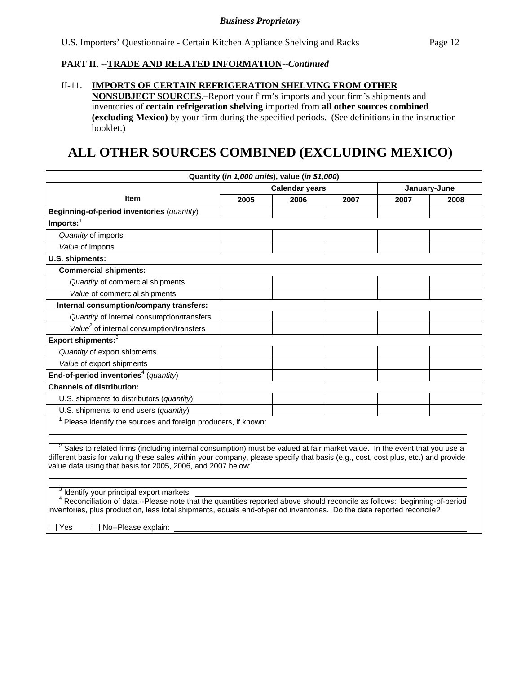## II-11. **IMPORTS OF CERTAIN REFRIGERATION SHELVING FROM OTHER**

**NONSUBJECT SOURCES**.–Report your firm's imports and your firm's shipments and inventories of **certain refrigeration shelving** imported from **all other sources combined (excluding Mexico)** by your firm during the specified periods. (See definitions in the instruction booklet.)

# **ALL OTHER SOURCES COMBINED (EXCLUDING MEXICO)**

| <b>Calendar years</b><br>January-June<br>Item<br>2005<br>2006<br>2007<br>2007<br>2008<br>Beginning-of-period inventories (quantity)<br>$Imports:$ <sup>1</sup><br>Quantity of imports<br>Value of imports<br>U.S. shipments:<br><b>Commercial shipments:</b><br>Quantity of commercial shipments<br>Value of commercial shipments<br>Internal consumption/company transfers:<br>Quantity of internal consumption/transfers<br>Value <sup>2</sup> of internal consumption/transfers<br>Export shipments: <sup>3</sup><br>Quantity of export shipments<br>Value of export shipments<br>End-of-period inventories <sup>4</sup> (quantity)<br><b>Channels of distribution:</b><br>U.S. shipments to distributors (quantity)<br>U.S. shipments to end users (quantity)<br><sup>1</sup> Please identify the sources and foreign producers, if known:<br><sup>2</sup> Sales to related firms (including internal consumption) must be valued at fair market value. In the event that you use a<br>different basis for valuing these sales within your company, please specify that basis (e.g., cost, cost plus, etc.) and provide<br>value data using that basis for 2005, 2006, and 2007 below:<br><sup>3</sup> Identify your principal export markets:<br><sup>4</sup> Reconciliation of data .--Please note that the quantities reported above should reconcile as follows: beginning-of-period<br>inventories, plus production, less total shipments, equals end-of-period inventories. Do the data reported reconcile? |                                   |  | Quantity (in 1,000 units), value (in \$1,000) |  |  |  |  |  |
|-----------------------------------------------------------------------------------------------------------------------------------------------------------------------------------------------------------------------------------------------------------------------------------------------------------------------------------------------------------------------------------------------------------------------------------------------------------------------------------------------------------------------------------------------------------------------------------------------------------------------------------------------------------------------------------------------------------------------------------------------------------------------------------------------------------------------------------------------------------------------------------------------------------------------------------------------------------------------------------------------------------------------------------------------------------------------------------------------------------------------------------------------------------------------------------------------------------------------------------------------------------------------------------------------------------------------------------------------------------------------------------------------------------------------------------------------------------------------------------------------------------------------|-----------------------------------|--|-----------------------------------------------|--|--|--|--|--|
|                                                                                                                                                                                                                                                                                                                                                                                                                                                                                                                                                                                                                                                                                                                                                                                                                                                                                                                                                                                                                                                                                                                                                                                                                                                                                                                                                                                                                                                                                                                       |                                   |  |                                               |  |  |  |  |  |
|                                                                                                                                                                                                                                                                                                                                                                                                                                                                                                                                                                                                                                                                                                                                                                                                                                                                                                                                                                                                                                                                                                                                                                                                                                                                                                                                                                                                                                                                                                                       |                                   |  |                                               |  |  |  |  |  |
|                                                                                                                                                                                                                                                                                                                                                                                                                                                                                                                                                                                                                                                                                                                                                                                                                                                                                                                                                                                                                                                                                                                                                                                                                                                                                                                                                                                                                                                                                                                       |                                   |  |                                               |  |  |  |  |  |
|                                                                                                                                                                                                                                                                                                                                                                                                                                                                                                                                                                                                                                                                                                                                                                                                                                                                                                                                                                                                                                                                                                                                                                                                                                                                                                                                                                                                                                                                                                                       |                                   |  |                                               |  |  |  |  |  |
|                                                                                                                                                                                                                                                                                                                                                                                                                                                                                                                                                                                                                                                                                                                                                                                                                                                                                                                                                                                                                                                                                                                                                                                                                                                                                                                                                                                                                                                                                                                       |                                   |  |                                               |  |  |  |  |  |
|                                                                                                                                                                                                                                                                                                                                                                                                                                                                                                                                                                                                                                                                                                                                                                                                                                                                                                                                                                                                                                                                                                                                                                                                                                                                                                                                                                                                                                                                                                                       |                                   |  |                                               |  |  |  |  |  |
|                                                                                                                                                                                                                                                                                                                                                                                                                                                                                                                                                                                                                                                                                                                                                                                                                                                                                                                                                                                                                                                                                                                                                                                                                                                                                                                                                                                                                                                                                                                       |                                   |  |                                               |  |  |  |  |  |
|                                                                                                                                                                                                                                                                                                                                                                                                                                                                                                                                                                                                                                                                                                                                                                                                                                                                                                                                                                                                                                                                                                                                                                                                                                                                                                                                                                                                                                                                                                                       |                                   |  |                                               |  |  |  |  |  |
|                                                                                                                                                                                                                                                                                                                                                                                                                                                                                                                                                                                                                                                                                                                                                                                                                                                                                                                                                                                                                                                                                                                                                                                                                                                                                                                                                                                                                                                                                                                       |                                   |  |                                               |  |  |  |  |  |
|                                                                                                                                                                                                                                                                                                                                                                                                                                                                                                                                                                                                                                                                                                                                                                                                                                                                                                                                                                                                                                                                                                                                                                                                                                                                                                                                                                                                                                                                                                                       |                                   |  |                                               |  |  |  |  |  |
|                                                                                                                                                                                                                                                                                                                                                                                                                                                                                                                                                                                                                                                                                                                                                                                                                                                                                                                                                                                                                                                                                                                                                                                                                                                                                                                                                                                                                                                                                                                       |                                   |  |                                               |  |  |  |  |  |
|                                                                                                                                                                                                                                                                                                                                                                                                                                                                                                                                                                                                                                                                                                                                                                                                                                                                                                                                                                                                                                                                                                                                                                                                                                                                                                                                                                                                                                                                                                                       |                                   |  |                                               |  |  |  |  |  |
|                                                                                                                                                                                                                                                                                                                                                                                                                                                                                                                                                                                                                                                                                                                                                                                                                                                                                                                                                                                                                                                                                                                                                                                                                                                                                                                                                                                                                                                                                                                       |                                   |  |                                               |  |  |  |  |  |
|                                                                                                                                                                                                                                                                                                                                                                                                                                                                                                                                                                                                                                                                                                                                                                                                                                                                                                                                                                                                                                                                                                                                                                                                                                                                                                                                                                                                                                                                                                                       |                                   |  |                                               |  |  |  |  |  |
|                                                                                                                                                                                                                                                                                                                                                                                                                                                                                                                                                                                                                                                                                                                                                                                                                                                                                                                                                                                                                                                                                                                                                                                                                                                                                                                                                                                                                                                                                                                       |                                   |  |                                               |  |  |  |  |  |
|                                                                                                                                                                                                                                                                                                                                                                                                                                                                                                                                                                                                                                                                                                                                                                                                                                                                                                                                                                                                                                                                                                                                                                                                                                                                                                                                                                                                                                                                                                                       |                                   |  |                                               |  |  |  |  |  |
|                                                                                                                                                                                                                                                                                                                                                                                                                                                                                                                                                                                                                                                                                                                                                                                                                                                                                                                                                                                                                                                                                                                                                                                                                                                                                                                                                                                                                                                                                                                       |                                   |  |                                               |  |  |  |  |  |
|                                                                                                                                                                                                                                                                                                                                                                                                                                                                                                                                                                                                                                                                                                                                                                                                                                                                                                                                                                                                                                                                                                                                                                                                                                                                                                                                                                                                                                                                                                                       |                                   |  |                                               |  |  |  |  |  |
|                                                                                                                                                                                                                                                                                                                                                                                                                                                                                                                                                                                                                                                                                                                                                                                                                                                                                                                                                                                                                                                                                                                                                                                                                                                                                                                                                                                                                                                                                                                       |                                   |  |                                               |  |  |  |  |  |
|                                                                                                                                                                                                                                                                                                                                                                                                                                                                                                                                                                                                                                                                                                                                                                                                                                                                                                                                                                                                                                                                                                                                                                                                                                                                                                                                                                                                                                                                                                                       |                                   |  |                                               |  |  |  |  |  |
|                                                                                                                                                                                                                                                                                                                                                                                                                                                                                                                                                                                                                                                                                                                                                                                                                                                                                                                                                                                                                                                                                                                                                                                                                                                                                                                                                                                                                                                                                                                       |                                   |  |                                               |  |  |  |  |  |
|                                                                                                                                                                                                                                                                                                                                                                                                                                                                                                                                                                                                                                                                                                                                                                                                                                                                                                                                                                                                                                                                                                                                                                                                                                                                                                                                                                                                                                                                                                                       |                                   |  |                                               |  |  |  |  |  |
|                                                                                                                                                                                                                                                                                                                                                                                                                                                                                                                                                                                                                                                                                                                                                                                                                                                                                                                                                                                                                                                                                                                                                                                                                                                                                                                                                                                                                                                                                                                       |                                   |  |                                               |  |  |  |  |  |
|                                                                                                                                                                                                                                                                                                                                                                                                                                                                                                                                                                                                                                                                                                                                                                                                                                                                                                                                                                                                                                                                                                                                                                                                                                                                                                                                                                                                                                                                                                                       | No--Please explain:<br>$\Box$ Yes |  |                                               |  |  |  |  |  |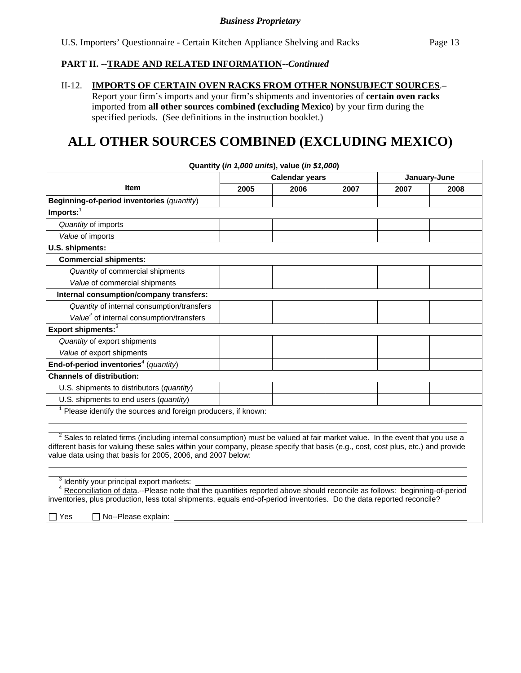# II-12. **IMPORTS OF CERTAIN OVEN RACKS FROM OTHER NONSUBJECT SOURCES**.– Report your firm's imports and your firm's shipments and inventories of **certain oven racks**

imported from **all other sources combined (excluding Mexico)** by your firm during the specified periods. (See definitions in the instruction booklet.)

# **ALL OTHER SOURCES COMBINED (EXCLUDING MEXICO)**

|                                                                                                                                                                                                                                                                                                                                           |      | Quantity (in 1,000 units), value (in \$1,000) |      |              |      |
|-------------------------------------------------------------------------------------------------------------------------------------------------------------------------------------------------------------------------------------------------------------------------------------------------------------------------------------------|------|-----------------------------------------------|------|--------------|------|
|                                                                                                                                                                                                                                                                                                                                           |      | <b>Calendar years</b>                         |      | January-June |      |
| <b>Item</b>                                                                                                                                                                                                                                                                                                                               | 2005 | 2006                                          | 2007 | 2007         | 2008 |
| Beginning-of-period inventories (quantity)                                                                                                                                                                                                                                                                                                |      |                                               |      |              |      |
| Imports: $1$                                                                                                                                                                                                                                                                                                                              |      |                                               |      |              |      |
| Quantity of imports                                                                                                                                                                                                                                                                                                                       |      |                                               |      |              |      |
| Value of imports                                                                                                                                                                                                                                                                                                                          |      |                                               |      |              |      |
| U.S. shipments:                                                                                                                                                                                                                                                                                                                           |      |                                               |      |              |      |
| <b>Commercial shipments:</b>                                                                                                                                                                                                                                                                                                              |      |                                               |      |              |      |
| Quantity of commercial shipments                                                                                                                                                                                                                                                                                                          |      |                                               |      |              |      |
| Value of commercial shipments                                                                                                                                                                                                                                                                                                             |      |                                               |      |              |      |
| Internal consumption/company transfers:                                                                                                                                                                                                                                                                                                   |      |                                               |      |              |      |
| Quantity of internal consumption/transfers                                                                                                                                                                                                                                                                                                |      |                                               |      |              |      |
| Value <sup>2</sup> of internal consumption/transfers                                                                                                                                                                                                                                                                                      |      |                                               |      |              |      |
| Export shipments: <sup>3</sup>                                                                                                                                                                                                                                                                                                            |      |                                               |      |              |      |
| Quantity of export shipments                                                                                                                                                                                                                                                                                                              |      |                                               |      |              |      |
| Value of export shipments                                                                                                                                                                                                                                                                                                                 |      |                                               |      |              |      |
| End-of-period inventories <sup>4</sup> (quantity)                                                                                                                                                                                                                                                                                         |      |                                               |      |              |      |
| <b>Channels of distribution:</b>                                                                                                                                                                                                                                                                                                          |      |                                               |      |              |      |
| U.S. shipments to distributors (quantity)                                                                                                                                                                                                                                                                                                 |      |                                               |      |              |      |
| U.S. shipments to end users (quantity)                                                                                                                                                                                                                                                                                                    |      |                                               |      |              |      |
| <sup>1</sup> Please identify the sources and foreign producers, if known:                                                                                                                                                                                                                                                                 |      |                                               |      |              |      |
|                                                                                                                                                                                                                                                                                                                                           |      |                                               |      |              |      |
| <sup>2</sup> Sales to related firms (including internal consumption) must be valued at fair market value. In the event that you use a<br>different basis for valuing these sales within your company, please specify that basis (e.g., cost, cost plus, etc.) and provide<br>value data using that basis for 2005, 2006, and 2007 below:  |      |                                               |      |              |      |
| <sup>3</sup> Identify your principal export markets:<br>Reconciliation of data.--Please note that the quantities reported above should reconcile as follows: beginning-of-period<br>inventories, plus production, less total shipments, equals end-of-period inventories. Do the data reported reconcile?<br>No--Please explain:<br>∏ Yes |      |                                               |      |              |      |
|                                                                                                                                                                                                                                                                                                                                           |      |                                               |      |              |      |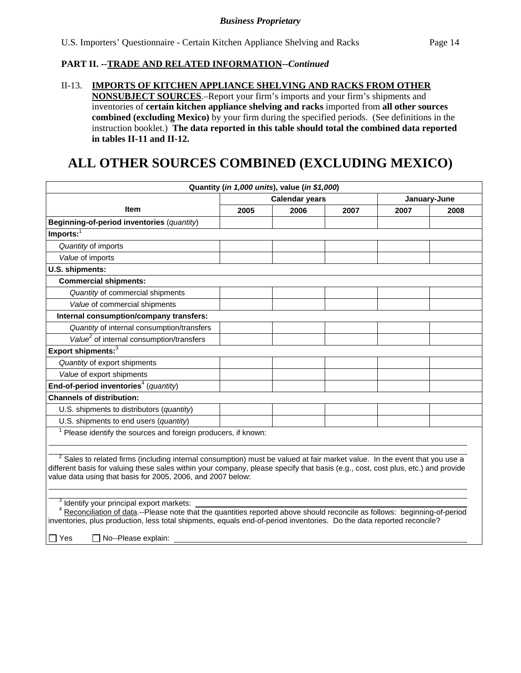#### II-13. **IMPORTS OF KITCHEN APPLIANCE SHELVING AND RACKS FROM OTHER**

**NONSUBJECT SOURCES**.–Report your firm's imports and your firm's shipments and inventories of **certain kitchen appliance shelving and racks** imported from **all other sources combined (excluding Mexico)** by your firm during the specified periods. (See definitions in the instruction booklet.) **The data reported in this table should total the combined data reported in tables II-11 and II-12.**

# **ALL OTHER SOURCES COMBINED (EXCLUDING MEXICO)**

|                                                                                                                                                                                                                                                                                                                                          |      | Quantity (in 1,000 units), value (in \$1,000) |      |              |      |
|------------------------------------------------------------------------------------------------------------------------------------------------------------------------------------------------------------------------------------------------------------------------------------------------------------------------------------------|------|-----------------------------------------------|------|--------------|------|
|                                                                                                                                                                                                                                                                                                                                          |      | <b>Calendar years</b>                         |      | January-June |      |
| <b>Item</b>                                                                                                                                                                                                                                                                                                                              | 2005 | 2006                                          | 2007 | 2007         | 2008 |
| Beginning-of-period inventories (quantity)                                                                                                                                                                                                                                                                                               |      |                                               |      |              |      |
| Imports: $1$                                                                                                                                                                                                                                                                                                                             |      |                                               |      |              |      |
| Quantity of imports                                                                                                                                                                                                                                                                                                                      |      |                                               |      |              |      |
| Value of imports                                                                                                                                                                                                                                                                                                                         |      |                                               |      |              |      |
| U.S. shipments:                                                                                                                                                                                                                                                                                                                          |      |                                               |      |              |      |
| <b>Commercial shipments:</b>                                                                                                                                                                                                                                                                                                             |      |                                               |      |              |      |
| Quantity of commercial shipments                                                                                                                                                                                                                                                                                                         |      |                                               |      |              |      |
| Value of commercial shipments                                                                                                                                                                                                                                                                                                            |      |                                               |      |              |      |
| Internal consumption/company transfers:                                                                                                                                                                                                                                                                                                  |      |                                               |      |              |      |
| Quantity of internal consumption/transfers                                                                                                                                                                                                                                                                                               |      |                                               |      |              |      |
| Value <sup>2</sup> of internal consumption/transfers                                                                                                                                                                                                                                                                                     |      |                                               |      |              |      |
| Export shipments: <sup>3</sup>                                                                                                                                                                                                                                                                                                           |      |                                               |      |              |      |
| Quantity of export shipments                                                                                                                                                                                                                                                                                                             |      |                                               |      |              |      |
| Value of export shipments                                                                                                                                                                                                                                                                                                                |      |                                               |      |              |      |
| End-of-period inventories <sup>4</sup> (quantity)                                                                                                                                                                                                                                                                                        |      |                                               |      |              |      |
| <b>Channels of distribution:</b>                                                                                                                                                                                                                                                                                                         |      |                                               |      |              |      |
| U.S. shipments to distributors (quantity)                                                                                                                                                                                                                                                                                                |      |                                               |      |              |      |
| U.S. shipments to end users (quantity)                                                                                                                                                                                                                                                                                                   |      |                                               |      |              |      |
| Please identify the sources and foreign producers, if known:                                                                                                                                                                                                                                                                             |      |                                               |      |              |      |
| <sup>2</sup> Sales to related firms (including internal consumption) must be valued at fair market value. In the event that you use a<br>different basis for valuing these sales within your company, please specify that basis (e.g., cost, cost plus, etc.) and provide<br>value data using that basis for 2005, 2006, and 2007 below: |      |                                               |      |              |      |
| Identify your principal export markets:<br>Reconciliation of data.--Please note that the quantities reported above should reconcile as follows: beginning-of-period<br>inventories, plus production, less total shipments, equals end-of-period inventories. Do the data reported reconcile?<br>$\Box$ Yes<br>No--Please explain:        |      |                                               |      |              |      |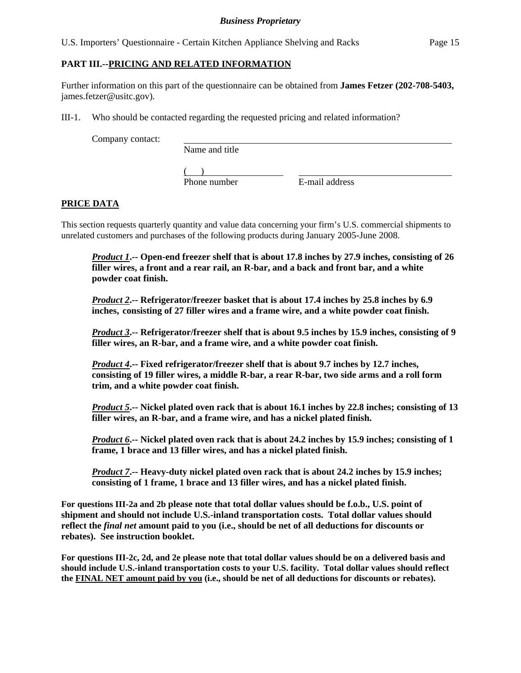U.S. Importers' Questionnaire - Certain Kitchen Appliance Shelving and Racks Page 15

# **PART III.--PRICING AND RELATED INFORMATION**

Further information on this part of the questionnaire can be obtained from **James Fetzer (202-708-5403,**  james.fetzer@usitc.gov).

III-1. Who should be contacted regarding the requested pricing and related information?

Company contact:

Name and title

 $($ Phone number  $E$ -mail address

# **PRICE DATA**

This section requests quarterly quantity and value data concerning your firm's U.S. commercial shipments to unrelated customers and purchases of the following products during January 2005-June 2008.

*Product 1***.-- Open-end freezer shelf that is about 17.8 inches by 27.9 inches, consisting of 26 filler wires, a front and a rear rail, an R-bar, and a back and front bar, and a white powder coat finish.** 

*Product 2***.-- Refrigerator/freezer basket that is about 17.4 inches by 25.8 inches by 6.9 inches, consisting of 27 filler wires and a frame wire, and a white powder coat finish.** 

*Product 3***.-- Refrigerator/freezer shelf that is about 9.5 inches by 15.9 inches, consisting of 9 filler wires, an R-bar, and a frame wire, and a white powder coat finish.** 

*Product 4***.-- Fixed refrigerator/freezer shelf that is about 9.7 inches by 12.7 inches, consisting of 19 filler wires, a middle R-bar, a rear R-bar, two side arms and a roll form trim, and a white powder coat finish.** 

*Product 5***.-- Nickel plated oven rack that is about 16.1 inches by 22.8 inches; consisting of 13 filler wires, an R-bar, and a frame wire, and has a nickel plated finish.** 

*Product 6*<sup>2</sup>-- Nickel plated oven rack that is about 24.2 inches by 15.9 inches; consisting of 1  **frame, 1 brace and 13 filler wires, and has a nickel plated finish.** 

*Product* **7</u>. -- Heavy-duty nickel plated oven rack that is about 24.2 inches by 15.9 inches; consisting of 1 frame, 1 brace and 13 filler wires, and has a nickel plated finish.** 

**For questions III-2a and 2b please note that total dollar values should be f.o.b., U.S. point of shipment and should not include U.S.-inland transportation costs. Total dollar values should reflect the** *final net* **amount paid to you (i.e., should be net of all deductions for discounts or rebates). See instruction booklet.** 

**For questions III-2c, 2d, and 2e please note that total dollar values should be on a delivered basis and should include U.S.-inland transportation costs to your U.S. facility. Total dollar values should reflect the FINAL NET amount paid by you (i.e., should be net of all deductions for discounts or rebates).**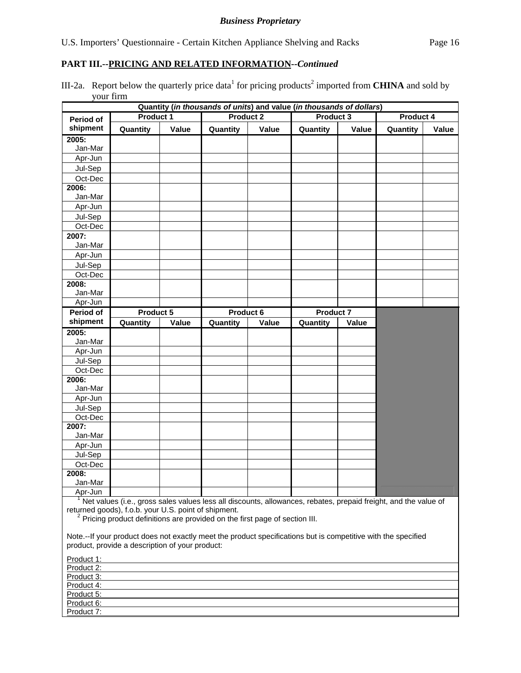| III-2a. Report below the quarterly price data <sup>1</sup> for pricing products <sup>2</sup> imported from <b>CHINA</b> and sold by |  |  |
|-------------------------------------------------------------------------------------------------------------------------------------|--|--|
| vour firm                                                                                                                           |  |  |

|                  |                                                                                                                                                                                                                                                                  |       |                  |       | Quantity (in thousands of units) and value (in thousands of dollars) |       |           |       |
|------------------|------------------------------------------------------------------------------------------------------------------------------------------------------------------------------------------------------------------------------------------------------------------|-------|------------------|-------|----------------------------------------------------------------------|-------|-----------|-------|
| Period of        | <b>Product 1</b>                                                                                                                                                                                                                                                 |       | <b>Product 2</b> |       | Product 3                                                            |       | Product 4 |       |
| shipment         | Quantity                                                                                                                                                                                                                                                         | Value | Quantity         | Value | Quantity                                                             | Value | Quantity  | Value |
| 2005:            |                                                                                                                                                                                                                                                                  |       |                  |       |                                                                      |       |           |       |
| Jan-Mar          |                                                                                                                                                                                                                                                                  |       |                  |       |                                                                      |       |           |       |
| Apr-Jun          |                                                                                                                                                                                                                                                                  |       |                  |       |                                                                      |       |           |       |
| Jul-Sep          |                                                                                                                                                                                                                                                                  |       |                  |       |                                                                      |       |           |       |
| Oct-Dec          |                                                                                                                                                                                                                                                                  |       |                  |       |                                                                      |       |           |       |
| 2006:            |                                                                                                                                                                                                                                                                  |       |                  |       |                                                                      |       |           |       |
| Jan-Mar          |                                                                                                                                                                                                                                                                  |       |                  |       |                                                                      |       |           |       |
| Apr-Jun          |                                                                                                                                                                                                                                                                  |       |                  |       |                                                                      |       |           |       |
| Jul-Sep          |                                                                                                                                                                                                                                                                  |       |                  |       |                                                                      |       |           |       |
| Oct-Dec          |                                                                                                                                                                                                                                                                  |       |                  |       |                                                                      |       |           |       |
| 2007:            |                                                                                                                                                                                                                                                                  |       |                  |       |                                                                      |       |           |       |
| Jan-Mar          |                                                                                                                                                                                                                                                                  |       |                  |       |                                                                      |       |           |       |
| Apr-Jun          |                                                                                                                                                                                                                                                                  |       |                  |       |                                                                      |       |           |       |
| Jul-Sep          |                                                                                                                                                                                                                                                                  |       |                  |       |                                                                      |       |           |       |
| Oct-Dec          |                                                                                                                                                                                                                                                                  |       |                  |       |                                                                      |       |           |       |
| 2008:            |                                                                                                                                                                                                                                                                  |       |                  |       |                                                                      |       |           |       |
| Jan-Mar          |                                                                                                                                                                                                                                                                  |       |                  |       |                                                                      |       |           |       |
| Apr-Jun          |                                                                                                                                                                                                                                                                  |       |                  |       |                                                                      |       |           |       |
| <b>Period of</b> | <b>Product 5</b>                                                                                                                                                                                                                                                 |       | Product 6        |       | <b>Product 7</b>                                                     |       |           |       |
| shipment         | Quantity                                                                                                                                                                                                                                                         | Value | Quantity         | Value | Quantity                                                             | Value |           |       |
| 2005:            |                                                                                                                                                                                                                                                                  |       |                  |       |                                                                      |       |           |       |
| Jan-Mar          |                                                                                                                                                                                                                                                                  |       |                  |       |                                                                      |       |           |       |
| Apr-Jun          |                                                                                                                                                                                                                                                                  |       |                  |       |                                                                      |       |           |       |
| Jul-Sep          |                                                                                                                                                                                                                                                                  |       |                  |       |                                                                      |       |           |       |
| Oct-Dec          |                                                                                                                                                                                                                                                                  |       |                  |       |                                                                      |       |           |       |
| 2006:            |                                                                                                                                                                                                                                                                  |       |                  |       |                                                                      |       |           |       |
| Jan-Mar          |                                                                                                                                                                                                                                                                  |       |                  |       |                                                                      |       |           |       |
| Apr-Jun          |                                                                                                                                                                                                                                                                  |       |                  |       |                                                                      |       |           |       |
| Jul-Sep          |                                                                                                                                                                                                                                                                  |       |                  |       |                                                                      |       |           |       |
| Oct-Dec          |                                                                                                                                                                                                                                                                  |       |                  |       |                                                                      |       |           |       |
| 2007:            |                                                                                                                                                                                                                                                                  |       |                  |       |                                                                      |       |           |       |
| Jan-Mar          |                                                                                                                                                                                                                                                                  |       |                  |       |                                                                      |       |           |       |
| Apr-Jun          |                                                                                                                                                                                                                                                                  |       |                  |       |                                                                      |       |           |       |
| Jul-Sep          |                                                                                                                                                                                                                                                                  |       |                  |       |                                                                      |       |           |       |
| Oct-Dec<br>2008: |                                                                                                                                                                                                                                                                  |       |                  |       |                                                                      |       |           |       |
| Jan-Mar          |                                                                                                                                                                                                                                                                  |       |                  |       |                                                                      |       |           |       |
| Apr-Jun          |                                                                                                                                                                                                                                                                  |       |                  |       |                                                                      |       |           |       |
|                  | Net values (i.e., gross sales values less all discounts, allowances, rebates, prepaid freight, and the value of                                                                                                                                                  |       |                  |       |                                                                      |       |           |       |
|                  | returned goods), f.o.b. your U.S. point of shipment.<br><sup>2</sup> Pricing product definitions are provided on the first page of section III.<br>Note --If your product does not exactly meet the product specifications but is competitive with the specified |       |                  |       |                                                                      |       |           |       |

Note.--If your product does not exactly meet the product specifications but is competitive with the specified product, provide a description of your product:

| Product 1: |  |  |
|------------|--|--|
| Product 2: |  |  |
| Product 3: |  |  |
| Product 4: |  |  |
| Product 5: |  |  |
| Product 6: |  |  |
| Product 7: |  |  |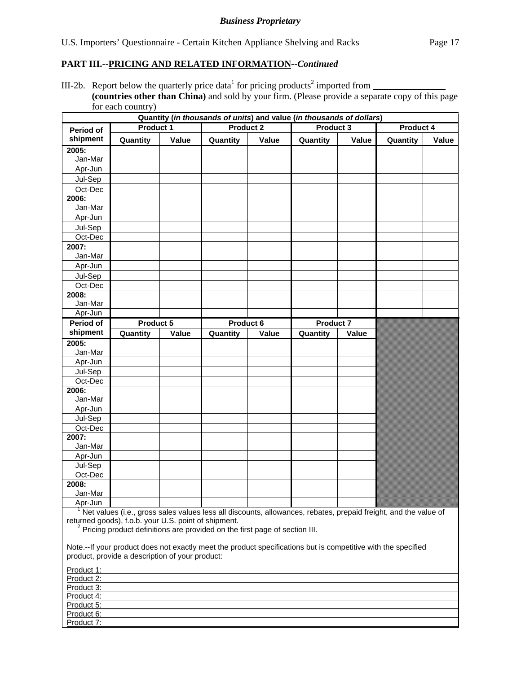## **PART III.--PRICING AND RELATED INFORMATION***--Continued*

III-2b. Report below the quarterly price data<sup>1</sup> for pricing products<sup>2</sup> imported from  $\qquad \qquad$ **(countries other than China)** and sold by your firm. (Please provide a separate copy of this page for each country)

|                       |                                                                                                                                                                                                                                                                                                                                                                                     |       | Quantity (in thousands of units) and value (in thousands of dollars) |       |                  |       |           |       |
|-----------------------|-------------------------------------------------------------------------------------------------------------------------------------------------------------------------------------------------------------------------------------------------------------------------------------------------------------------------------------------------------------------------------------|-------|----------------------------------------------------------------------|-------|------------------|-------|-----------|-------|
| Period of             | Product 1                                                                                                                                                                                                                                                                                                                                                                           |       | <b>Product 2</b>                                                     |       | Product 3        |       | Product 4 |       |
| shipment              | Quantity                                                                                                                                                                                                                                                                                                                                                                            | Value | Quantity                                                             | Value | Quantity         | Value | Quantity  | Value |
| 2005:                 |                                                                                                                                                                                                                                                                                                                                                                                     |       |                                                                      |       |                  |       |           |       |
| Jan-Mar               |                                                                                                                                                                                                                                                                                                                                                                                     |       |                                                                      |       |                  |       |           |       |
| Apr-Jun               |                                                                                                                                                                                                                                                                                                                                                                                     |       |                                                                      |       |                  |       |           |       |
| Jul-Sep               |                                                                                                                                                                                                                                                                                                                                                                                     |       |                                                                      |       |                  |       |           |       |
| Oct-Dec               |                                                                                                                                                                                                                                                                                                                                                                                     |       |                                                                      |       |                  |       |           |       |
| 2006:                 |                                                                                                                                                                                                                                                                                                                                                                                     |       |                                                                      |       |                  |       |           |       |
| Jan-Mar               |                                                                                                                                                                                                                                                                                                                                                                                     |       |                                                                      |       |                  |       |           |       |
| Apr-Jun               |                                                                                                                                                                                                                                                                                                                                                                                     |       |                                                                      |       |                  |       |           |       |
| Jul-Sep               |                                                                                                                                                                                                                                                                                                                                                                                     |       |                                                                      |       |                  |       |           |       |
| Oct-Dec               |                                                                                                                                                                                                                                                                                                                                                                                     |       |                                                                      |       |                  |       |           |       |
| 2007:                 |                                                                                                                                                                                                                                                                                                                                                                                     |       |                                                                      |       |                  |       |           |       |
| Jan-Mar               |                                                                                                                                                                                                                                                                                                                                                                                     |       |                                                                      |       |                  |       |           |       |
| Apr-Jun               |                                                                                                                                                                                                                                                                                                                                                                                     |       |                                                                      |       |                  |       |           |       |
| Jul-Sep               |                                                                                                                                                                                                                                                                                                                                                                                     |       |                                                                      |       |                  |       |           |       |
| Oct-Dec               |                                                                                                                                                                                                                                                                                                                                                                                     |       |                                                                      |       |                  |       |           |       |
| 2008:                 |                                                                                                                                                                                                                                                                                                                                                                                     |       |                                                                      |       |                  |       |           |       |
| Jan-Mar               |                                                                                                                                                                                                                                                                                                                                                                                     |       |                                                                      |       |                  |       |           |       |
| Apr-Jun               |                                                                                                                                                                                                                                                                                                                                                                                     |       |                                                                      |       |                  |       |           |       |
| Period of<br>shipment | Product 5                                                                                                                                                                                                                                                                                                                                                                           |       | Product 6                                                            |       | <b>Product 7</b> |       |           |       |
|                       | Quantity                                                                                                                                                                                                                                                                                                                                                                            | Value | Quantity                                                             | Value | Quantity         | Value |           |       |
| 2005:<br>Jan-Mar      |                                                                                                                                                                                                                                                                                                                                                                                     |       |                                                                      |       |                  |       |           |       |
| Apr-Jun               |                                                                                                                                                                                                                                                                                                                                                                                     |       |                                                                      |       |                  |       |           |       |
| Jul-Sep               |                                                                                                                                                                                                                                                                                                                                                                                     |       |                                                                      |       |                  |       |           |       |
| Oct-Dec               |                                                                                                                                                                                                                                                                                                                                                                                     |       |                                                                      |       |                  |       |           |       |
| 2006:                 |                                                                                                                                                                                                                                                                                                                                                                                     |       |                                                                      |       |                  |       |           |       |
| Jan-Mar               |                                                                                                                                                                                                                                                                                                                                                                                     |       |                                                                      |       |                  |       |           |       |
| Apr-Jun               |                                                                                                                                                                                                                                                                                                                                                                                     |       |                                                                      |       |                  |       |           |       |
| Jul-Sep               |                                                                                                                                                                                                                                                                                                                                                                                     |       |                                                                      |       |                  |       |           |       |
| Oct-Dec               |                                                                                                                                                                                                                                                                                                                                                                                     |       |                                                                      |       |                  |       |           |       |
| 2007:                 |                                                                                                                                                                                                                                                                                                                                                                                     |       |                                                                      |       |                  |       |           |       |
| Jan-Mar               |                                                                                                                                                                                                                                                                                                                                                                                     |       |                                                                      |       |                  |       |           |       |
| Apr-Jun               |                                                                                                                                                                                                                                                                                                                                                                                     |       |                                                                      |       |                  |       |           |       |
| Jul-Sep               |                                                                                                                                                                                                                                                                                                                                                                                     |       |                                                                      |       |                  |       |           |       |
| Oct-Dec               |                                                                                                                                                                                                                                                                                                                                                                                     |       |                                                                      |       |                  |       |           |       |
| 2008:                 |                                                                                                                                                                                                                                                                                                                                                                                     |       |                                                                      |       |                  |       |           |       |
| Jan-Mar               |                                                                                                                                                                                                                                                                                                                                                                                     |       |                                                                      |       |                  |       |           |       |
| Apr-Jun               |                                                                                                                                                                                                                                                                                                                                                                                     |       |                                                                      |       |                  |       |           |       |
|                       | Net values (i.e., gross sales values less all discounts, allowances, rebates, prepaid freight, and the value of<br>returned goods), f.o.b. your U.S. point of shipment.<br><sup>2</sup> Pricing product definitions are provided on the first page of section III.<br>Note.--If your product does not exactly meet the product specifications but is competitive with the specified |       |                                                                      |       |                  |       |           |       |
|                       | product, provide a description of your product:                                                                                                                                                                                                                                                                                                                                     |       |                                                                      |       |                  |       |           |       |

| Product 1: |  |  |
|------------|--|--|
| Product 2: |  |  |
| Product 3: |  |  |
| Product 4: |  |  |
| Product 5: |  |  |
| Product 6: |  |  |
| Product 7: |  |  |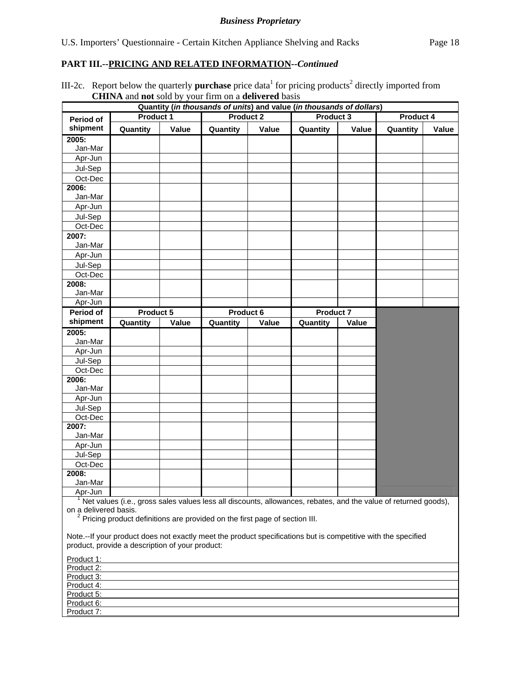III-2c. Report below the quarterly **purchase** price data<sup>1</sup> for pricing products<sup>2</sup> directly imported from **CHINA** and **not** sold by your firm on a **delivered** basis

| Quantity (in thousands of units) and value (in thousands of dollars) |                                                                                                                 |       |                                                            |       |           |       |           |       |
|----------------------------------------------------------------------|-----------------------------------------------------------------------------------------------------------------|-------|------------------------------------------------------------|-------|-----------|-------|-----------|-------|
| Period of                                                            | Product 1                                                                                                       |       | <b>Product 2</b>                                           |       | Product 3 |       | Product 4 |       |
| shipment                                                             | Quantity                                                                                                        | Value | Quantity                                                   | Value | Quantity  | Value | Quantity  | Value |
| 2005:                                                                |                                                                                                                 |       |                                                            |       |           |       |           |       |
| Jan-Mar                                                              |                                                                                                                 |       |                                                            |       |           |       |           |       |
| Apr-Jun                                                              |                                                                                                                 |       |                                                            |       |           |       |           |       |
| Jul-Sep                                                              |                                                                                                                 |       |                                                            |       |           |       |           |       |
| Oct-Dec                                                              |                                                                                                                 |       |                                                            |       |           |       |           |       |
| 2006:                                                                |                                                                                                                 |       |                                                            |       |           |       |           |       |
| Jan-Mar                                                              |                                                                                                                 |       |                                                            |       |           |       |           |       |
| Apr-Jun                                                              |                                                                                                                 |       |                                                            |       |           |       |           |       |
| Jul-Sep                                                              |                                                                                                                 |       |                                                            |       |           |       |           |       |
| Oct-Dec                                                              |                                                                                                                 |       |                                                            |       |           |       |           |       |
| 2007:                                                                |                                                                                                                 |       |                                                            |       |           |       |           |       |
| Jan-Mar                                                              |                                                                                                                 |       |                                                            |       |           |       |           |       |
| Apr-Jun                                                              |                                                                                                                 |       |                                                            |       |           |       |           |       |
| Jul-Sep                                                              |                                                                                                                 |       |                                                            |       |           |       |           |       |
| Oct-Dec                                                              |                                                                                                                 |       |                                                            |       |           |       |           |       |
| 2008:                                                                |                                                                                                                 |       |                                                            |       |           |       |           |       |
| Jan-Mar                                                              |                                                                                                                 |       |                                                            |       |           |       |           |       |
| Apr-Jun                                                              |                                                                                                                 |       |                                                            |       |           |       |           |       |
| Period of                                                            | Product 5                                                                                                       |       | Product 6                                                  |       | Product 7 |       |           |       |
| shipment                                                             | Quantity                                                                                                        | Value | Quantity                                                   | Value | Quantity  | Value |           |       |
| 2005:                                                                |                                                                                                                 |       |                                                            |       |           |       |           |       |
| Jan-Mar                                                              |                                                                                                                 |       |                                                            |       |           |       |           |       |
| Apr-Jun                                                              |                                                                                                                 |       |                                                            |       |           |       |           |       |
| Jul-Sep                                                              |                                                                                                                 |       |                                                            |       |           |       |           |       |
| Oct-Dec                                                              |                                                                                                                 |       |                                                            |       |           |       |           |       |
| 2006:                                                                |                                                                                                                 |       |                                                            |       |           |       |           |       |
| Jan-Mar                                                              |                                                                                                                 |       |                                                            |       |           |       |           |       |
| Apr-Jun                                                              |                                                                                                                 |       |                                                            |       |           |       |           |       |
| Jul-Sep                                                              |                                                                                                                 |       |                                                            |       |           |       |           |       |
| Oct-Dec                                                              |                                                                                                                 |       |                                                            |       |           |       |           |       |
| 2007:                                                                |                                                                                                                 |       |                                                            |       |           |       |           |       |
| Jan-Mar                                                              |                                                                                                                 |       |                                                            |       |           |       |           |       |
| Apr-Jun                                                              |                                                                                                                 |       |                                                            |       |           |       |           |       |
| Jul-Sep                                                              |                                                                                                                 |       |                                                            |       |           |       |           |       |
| Oct-Dec                                                              |                                                                                                                 |       |                                                            |       |           |       |           |       |
| 2008:                                                                |                                                                                                                 |       |                                                            |       |           |       |           |       |
| Jan-Mar                                                              |                                                                                                                 |       |                                                            |       |           |       |           |       |
| Apr-Jun                                                              | Net values (i.e., gross sales values less all discounts, allowances, rebates, and the value of returned goods), |       |                                                            |       |           |       |           |       |
| on a delivered basis.                                                |                                                                                                                 |       |                                                            |       |           |       |           |       |
|                                                                      | <sup>2</sup> Pricing product definitions are provided on the first page of section III.                         |       |                                                            |       |           |       |           |       |
|                                                                      |                                                                                                                 |       |                                                            |       |           |       |           |       |
|                                                                      | Note.--If your product does not exactly meet the product specifications but is competitive with the specified   |       |                                                            |       |           |       |           |       |
|                                                                      | product, provide a description of your product:                                                                 |       |                                                            |       |           |       |           |       |
| Product 1:                                                           |                                                                                                                 |       |                                                            |       |           |       |           |       |
| Product 2:                                                           |                                                                                                                 |       | <u> 1989 - Johann Barbara, martxa alemaniar amerikan a</u> |       |           |       |           |       |
|                                                                      |                                                                                                                 |       |                                                            |       |           |       |           |       |

| <b>FIUUUUL I.</b> |  |
|-------------------|--|
| Product 2:        |  |
| Product 3:        |  |
| Product 4:        |  |
| Product 5:        |  |
| Product 6:        |  |
| Product 7:        |  |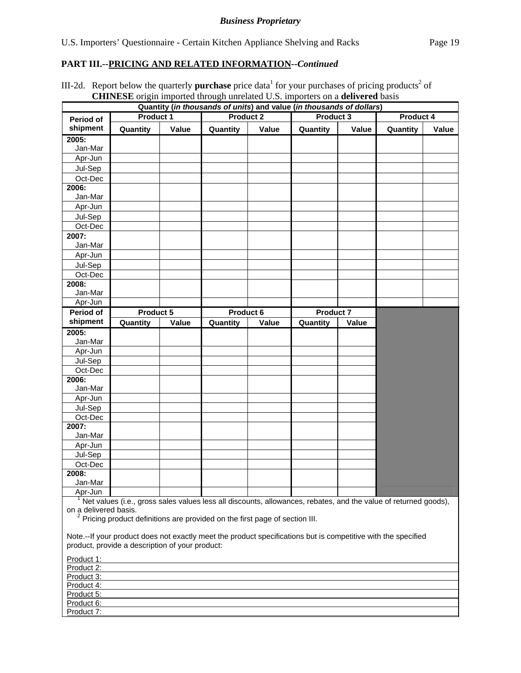III-2d. Report below the quarterly **purchase** price data<sup>1</sup> for your purchases of pricing products<sup>2</sup> of **CHINESE** origin imported through unrelated U.S. importers on a **delivered** basis

| Quantity (in thousands of units) and value (in thousands of dollars) |                                                                                                                 |       |                  |       |                  |       |           |       |
|----------------------------------------------------------------------|-----------------------------------------------------------------------------------------------------------------|-------|------------------|-------|------------------|-------|-----------|-------|
| Period of                                                            | Product 1                                                                                                       |       | <b>Product 2</b> |       | Product 3        |       | Product 4 |       |
| shipment                                                             | Quantity                                                                                                        | Value | Quantity         | Value | Quantity         | Value | Quantity  | Value |
| 2005:                                                                |                                                                                                                 |       |                  |       |                  |       |           |       |
| Jan-Mar                                                              |                                                                                                                 |       |                  |       |                  |       |           |       |
| Apr-Jun                                                              |                                                                                                                 |       |                  |       |                  |       |           |       |
| Jul-Sep                                                              |                                                                                                                 |       |                  |       |                  |       |           |       |
| Oct-Dec                                                              |                                                                                                                 |       |                  |       |                  |       |           |       |
| 2006:                                                                |                                                                                                                 |       |                  |       |                  |       |           |       |
| Jan-Mar                                                              |                                                                                                                 |       |                  |       |                  |       |           |       |
| Apr-Jun                                                              |                                                                                                                 |       |                  |       |                  |       |           |       |
| Jul-Sep                                                              |                                                                                                                 |       |                  |       |                  |       |           |       |
| Oct-Dec                                                              |                                                                                                                 |       |                  |       |                  |       |           |       |
| 2007:                                                                |                                                                                                                 |       |                  |       |                  |       |           |       |
| Jan-Mar                                                              |                                                                                                                 |       |                  |       |                  |       |           |       |
| Apr-Jun                                                              |                                                                                                                 |       |                  |       |                  |       |           |       |
| Jul-Sep                                                              |                                                                                                                 |       |                  |       |                  |       |           |       |
| Oct-Dec                                                              |                                                                                                                 |       |                  |       |                  |       |           |       |
| 2008:                                                                |                                                                                                                 |       |                  |       |                  |       |           |       |
| Jan-Mar                                                              |                                                                                                                 |       |                  |       |                  |       |           |       |
| Apr-Jun                                                              |                                                                                                                 |       |                  |       |                  |       |           |       |
| Period of                                                            | Product 5                                                                                                       |       | Product 6        |       | <b>Product 7</b> |       |           |       |
| shipment                                                             | Quantity                                                                                                        | Value | Quantity         | Value | Quantity         | Value |           |       |
| 2005:                                                                |                                                                                                                 |       |                  |       |                  |       |           |       |
| Jan-Mar                                                              |                                                                                                                 |       |                  |       |                  |       |           |       |
| Apr-Jun                                                              |                                                                                                                 |       |                  |       |                  |       |           |       |
| Jul-Sep                                                              |                                                                                                                 |       |                  |       |                  |       |           |       |
| Oct-Dec                                                              |                                                                                                                 |       |                  |       |                  |       |           |       |
| 2006:                                                                |                                                                                                                 |       |                  |       |                  |       |           |       |
| Jan-Mar                                                              |                                                                                                                 |       |                  |       |                  |       |           |       |
| Apr-Jun                                                              |                                                                                                                 |       |                  |       |                  |       |           |       |
| Jul-Sep                                                              |                                                                                                                 |       |                  |       |                  |       |           |       |
| Oct-Dec<br>2007:                                                     |                                                                                                                 |       |                  |       |                  |       |           |       |
| Jan-Mar                                                              |                                                                                                                 |       |                  |       |                  |       |           |       |
| Apr-Jun                                                              |                                                                                                                 |       |                  |       |                  |       |           |       |
| Jul-Sep                                                              |                                                                                                                 |       |                  |       |                  |       |           |       |
| Oct-Dec                                                              |                                                                                                                 |       |                  |       |                  |       |           |       |
| 2008:                                                                |                                                                                                                 |       |                  |       |                  |       |           |       |
| Jan-Mar                                                              |                                                                                                                 |       |                  |       |                  |       |           |       |
| Apr-Jun                                                              |                                                                                                                 |       |                  |       |                  |       |           |       |
|                                                                      | Net values (i.e., gross sales values less all discounts, allowances, rebates, and the value of returned goods), |       |                  |       |                  |       |           |       |
| on a delivered basis.                                                |                                                                                                                 |       |                  |       |                  |       |           |       |
|                                                                      | <sup>2</sup> Pricing product definitions are provided on the first page of section III.                         |       |                  |       |                  |       |           |       |
|                                                                      |                                                                                                                 |       |                  |       |                  |       |           |       |
|                                                                      | Note.--If your product does not exactly meet the product specifications but is competitive with the specified   |       |                  |       |                  |       |           |       |
|                                                                      | product, provide a description of your product:                                                                 |       |                  |       |                  |       |           |       |
| Product 1:                                                           |                                                                                                                 |       |                  |       |                  |       |           |       |
| Product 2:                                                           |                                                                                                                 |       |                  |       |                  |       |           |       |
| Product 3:                                                           |                                                                                                                 |       |                  |       |                  |       |           |       |

Product 4: Product 5: Product 6: Product 7: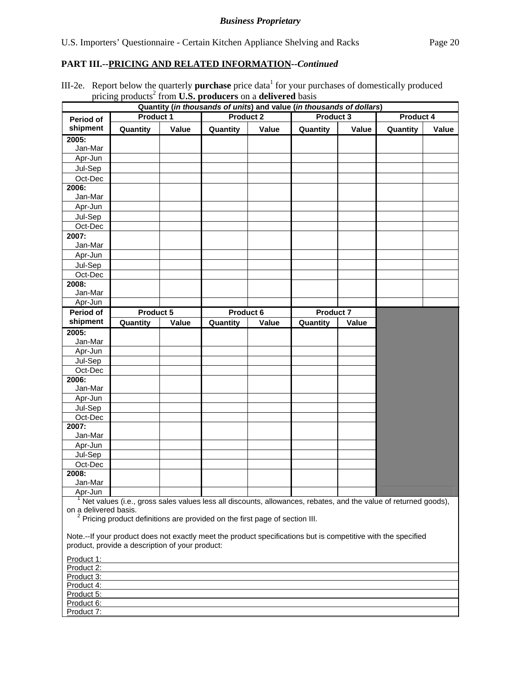Product 4: Product 5: Product 6: Product 7:

III-2e. Report below the quarterly **purchase** price data<sup>1</sup> for your purchases of domestically produced pricing products<sup>2</sup> from **U.S. producers** on a **delivered** basis

| Quantity (in thousands of units) and value (in thousands of dollars)                                          |                                                                                                                 |       |                  |       |                  |       |           |       |
|---------------------------------------------------------------------------------------------------------------|-----------------------------------------------------------------------------------------------------------------|-------|------------------|-------|------------------|-------|-----------|-------|
| Period of                                                                                                     | Product 1                                                                                                       |       | <b>Product 2</b> |       | Product 3        |       | Product 4 |       |
| shipment                                                                                                      | Quantity                                                                                                        | Value | Quantity         | Value | Quantity         | Value | Quantity  | Value |
| 2005:                                                                                                         |                                                                                                                 |       |                  |       |                  |       |           |       |
| Jan-Mar                                                                                                       |                                                                                                                 |       |                  |       |                  |       |           |       |
| Apr-Jun                                                                                                       |                                                                                                                 |       |                  |       |                  |       |           |       |
| Jul-Sep                                                                                                       |                                                                                                                 |       |                  |       |                  |       |           |       |
| Oct-Dec                                                                                                       |                                                                                                                 |       |                  |       |                  |       |           |       |
| 2006:                                                                                                         |                                                                                                                 |       |                  |       |                  |       |           |       |
| Jan-Mar                                                                                                       |                                                                                                                 |       |                  |       |                  |       |           |       |
| Apr-Jun                                                                                                       |                                                                                                                 |       |                  |       |                  |       |           |       |
| Jul-Sep                                                                                                       |                                                                                                                 |       |                  |       |                  |       |           |       |
| Oct-Dec                                                                                                       |                                                                                                                 |       |                  |       |                  |       |           |       |
| 2007:                                                                                                         |                                                                                                                 |       |                  |       |                  |       |           |       |
| Jan-Mar                                                                                                       |                                                                                                                 |       |                  |       |                  |       |           |       |
| Apr-Jun                                                                                                       |                                                                                                                 |       |                  |       |                  |       |           |       |
| Jul-Sep                                                                                                       |                                                                                                                 |       |                  |       |                  |       |           |       |
| Oct-Dec                                                                                                       |                                                                                                                 |       |                  |       |                  |       |           |       |
| 2008:                                                                                                         |                                                                                                                 |       |                  |       |                  |       |           |       |
| Jan-Mar                                                                                                       |                                                                                                                 |       |                  |       |                  |       |           |       |
| Apr-Jun                                                                                                       |                                                                                                                 |       |                  |       |                  |       |           |       |
| Period of                                                                                                     | Product 5                                                                                                       |       | Product 6        |       | <b>Product 7</b> |       |           |       |
| shipment                                                                                                      | Quantity                                                                                                        | Value | Quantity         | Value | Quantity         | Value |           |       |
| 2005:                                                                                                         |                                                                                                                 |       |                  |       |                  |       |           |       |
| Jan-Mar                                                                                                       |                                                                                                                 |       |                  |       |                  |       |           |       |
| Apr-Jun                                                                                                       |                                                                                                                 |       |                  |       |                  |       |           |       |
| Jul-Sep                                                                                                       |                                                                                                                 |       |                  |       |                  |       |           |       |
| Oct-Dec                                                                                                       |                                                                                                                 |       |                  |       |                  |       |           |       |
| 2006:                                                                                                         |                                                                                                                 |       |                  |       |                  |       |           |       |
| Jan-Mar                                                                                                       |                                                                                                                 |       |                  |       |                  |       |           |       |
| Apr-Jun                                                                                                       |                                                                                                                 |       |                  |       |                  |       |           |       |
| Jul-Sep                                                                                                       |                                                                                                                 |       |                  |       |                  |       |           |       |
| Oct-Dec                                                                                                       |                                                                                                                 |       |                  |       |                  |       |           |       |
| 2007:                                                                                                         |                                                                                                                 |       |                  |       |                  |       |           |       |
| Jan-Mar                                                                                                       |                                                                                                                 |       |                  |       |                  |       |           |       |
| Apr-Jun                                                                                                       |                                                                                                                 |       |                  |       |                  |       |           |       |
| Jul-Sep                                                                                                       |                                                                                                                 |       |                  |       |                  |       |           |       |
| Oct-Dec<br>2008:                                                                                              |                                                                                                                 |       |                  |       |                  |       |           |       |
| Jan-Mar                                                                                                       |                                                                                                                 |       |                  |       |                  |       |           |       |
| Apr-Jun                                                                                                       |                                                                                                                 |       |                  |       |                  |       |           |       |
|                                                                                                               | Net values (i.e., gross sales values less all discounts, allowances, rebates, and the value of returned goods), |       |                  |       |                  |       |           |       |
| on a delivered basis.                                                                                         |                                                                                                                 |       |                  |       |                  |       |           |       |
|                                                                                                               |                                                                                                                 |       |                  |       |                  |       |           |       |
|                                                                                                               | <sup>2</sup> Pricing product definitions are provided on the first page of section III.                         |       |                  |       |                  |       |           |       |
| Note.--If your product does not exactly meet the product specifications but is competitive with the specified |                                                                                                                 |       |                  |       |                  |       |           |       |
|                                                                                                               | product, provide a description of your product:                                                                 |       |                  |       |                  |       |           |       |
| Product 1:                                                                                                    |                                                                                                                 |       |                  |       |                  |       |           |       |
| Product 2:                                                                                                    |                                                                                                                 |       |                  |       |                  |       |           |       |
| Product 3:                                                                                                    |                                                                                                                 |       |                  |       |                  |       |           |       |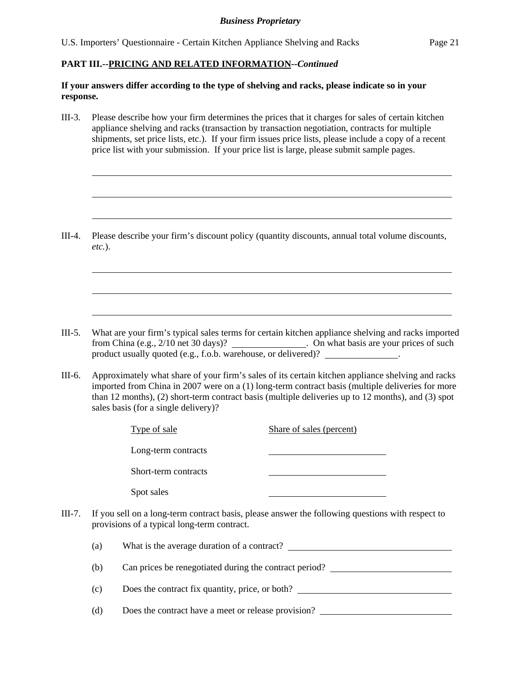## **PART III.--PRICING AND RELATED INFORMATION***--Continued*

 $\overline{a}$ 

 $\overline{a}$ 

 $\overline{a}$ 

 $\overline{a}$ 

 $\overline{a}$ 

 $\overline{a}$ 

# **If your answers differ according to the type of shelving and racks, please indicate so in your response.**

III-3. Please describe how your firm determines the prices that it charges for sales of certain kitchen appliance shelving and racks (transaction by transaction negotiation, contracts for multiple shipments, set price lists, etc.). If your firm issues price lists, please include a copy of a recent price list with your submission. If your price list is large, please submit sample pages.

III-4. Please describe your firm's discount policy (quantity discounts, annual total volume discounts, *etc.*).

- III-5. What are your firm's typical sales terms for certain kitchen appliance shelving and racks imported from China (e.g., 2/10 net 30 days)? . On what basis are your prices of such product usually quoted (e.g., f.o.b. warehouse, or delivered)?
- III-6. Approximately what share of your firm's sales of its certain kitchen appliance shelving and racks imported from China in 2007 were on a (1) long-term contract basis (multiple deliveries for more than 12 months), (2) short-term contract basis (multiple deliveries up to 12 months), and (3) spot sales basis (for a single delivery)?

|        |     | Type of sale                                           | Share of sales (percent)                                                                         |
|--------|-----|--------------------------------------------------------|--------------------------------------------------------------------------------------------------|
|        |     | Long-term contracts                                    |                                                                                                  |
|        |     | Short-term contracts                                   |                                                                                                  |
|        |     | Spot sales                                             |                                                                                                  |
| III-7. |     | provisions of a typical long-term contract.            | If you sell on a long-term contract basis, please answer the following questions with respect to |
|        | (a) | What is the average duration of a contract?            |                                                                                                  |
|        | (b) | Can prices be renegotiated during the contract period? |                                                                                                  |
|        | (c) | Does the contract fix quantity, price, or both?        |                                                                                                  |
|        | (d) | Does the contract have a meet or release provision?    |                                                                                                  |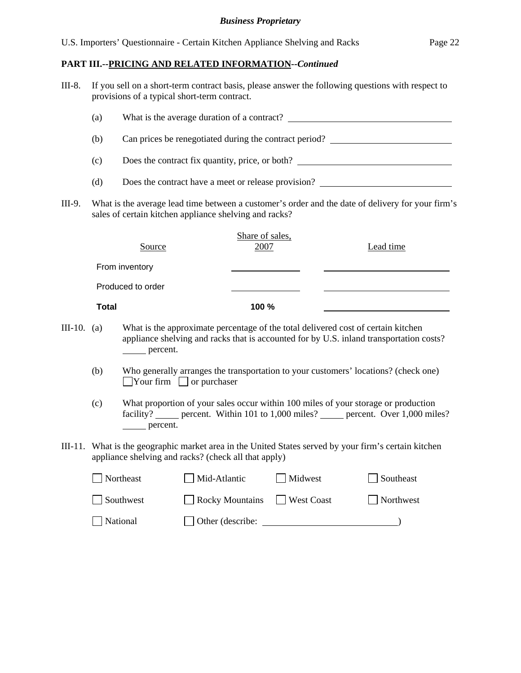#### **PART III.--PRICING AND RELATED INFORMATION***--Continued*

| $III-8.$ |     | provisions of a typical short-term contract.           |                                                 | If you sell on a short-term contract basis, please answer the following questions with respect to |  |
|----------|-----|--------------------------------------------------------|-------------------------------------------------|---------------------------------------------------------------------------------------------------|--|
|          | (a) |                                                        |                                                 |                                                                                                   |  |
|          | (b) |                                                        |                                                 | Can prices be renegotiated during the contract period?                                            |  |
|          | (c) |                                                        | Does the contract fix quantity, price, or both? |                                                                                                   |  |
|          | (d) | Does the contract have a meet or release provision?    |                                                 |                                                                                                   |  |
| III-9.   |     | sales of certain kitchen appliance shelving and racks? |                                                 | What is the average lead time between a customer's order and the date of delivery for your firm's |  |
|          |     | Source                                                 | Share of sales,<br>2007                         | Lead time                                                                                         |  |
|          |     | From inventory                                         |                                                 |                                                                                                   |  |

| Produced to order |
|-------------------|
|-------------------|

# **Total 100 %**

III-10. (a) What is the approximate percentage of the total delivered cost of certain kitchen appliance shelving and racks that is accounted for by U.S. inland transportation costs? **Percent.** 

- (b) Who generally arranges the transportation to your customers' locations? (check one)  $\Box$ Your firm  $\Box$  or purchaser
- (c) What proportion of your sales occur within 100 miles of your storage or production facility? percent. Within 101 to 1,000 miles? percent. Over 1,000 miles? percent.
- III-11. What is the geographic market area in the United States served by your firm's certain kitchen appliance shelving and racks? (check all that apply)

| Northeast | $\Box$ Mid-Atlantic        | Midwest | Southeast |
|-----------|----------------------------|---------|-----------|
| Southwest | Rocky Mountains West Coast |         | Northwest |
| National  | $\Box$ Other (describe:    |         |           |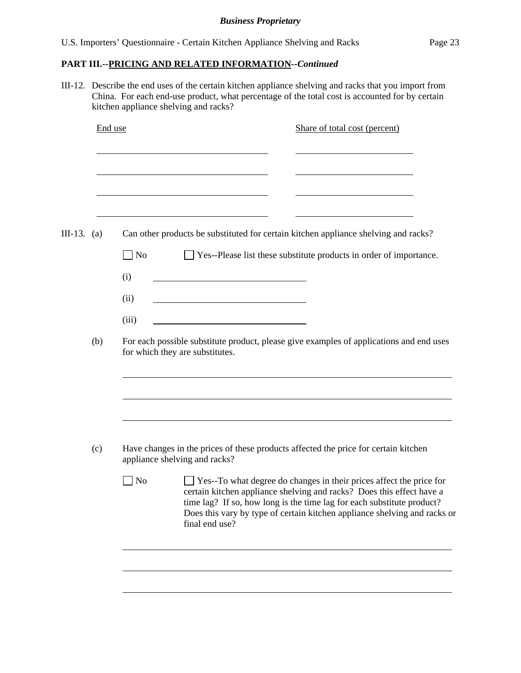$\overline{a}$ 

|               |         | III-12. Describe the end uses of the certain kitchen appliance shelving and racks that you import from<br>China. For each end-use product, what percentage of the total cost is accounted for by certain<br>kitchen appliance shelving and racks?                |
|---------------|---------|------------------------------------------------------------------------------------------------------------------------------------------------------------------------------------------------------------------------------------------------------------------|
|               | End use | Share of total cost (percent)                                                                                                                                                                                                                                    |
| III-13. $(a)$ |         | Can other products be substituted for certain kitchen appliance shelving and racks?<br>$\Box$ No<br>□ Yes--Please list these substitute products in order of importance.<br>(i)<br><u> 1989 - Johann Barbara, martxa eta idazlea (h. 1989).</u><br>(ii)<br>(iii) |
|               | (b)     | For each possible substitute product, please give examples of applications and end uses<br>for which they are substitutes.                                                                                                                                       |
|               | (c)     | Have changes in the prices of these products affected the price for certain kitchen<br>appliance shelving and racks?                                                                                                                                             |

| $\vert$   No | Yes--To what degree do changes in their prices affect the price for<br>certain kitchen appliance shelving and racks? Does this effect have a<br>time lag? If so, how long is the time lag for each substitute product?<br>Does this vary by type of certain kitchen appliance shelving and racks or<br>final end use? |
|--------------|-----------------------------------------------------------------------------------------------------------------------------------------------------------------------------------------------------------------------------------------------------------------------------------------------------------------------|
|              |                                                                                                                                                                                                                                                                                                                       |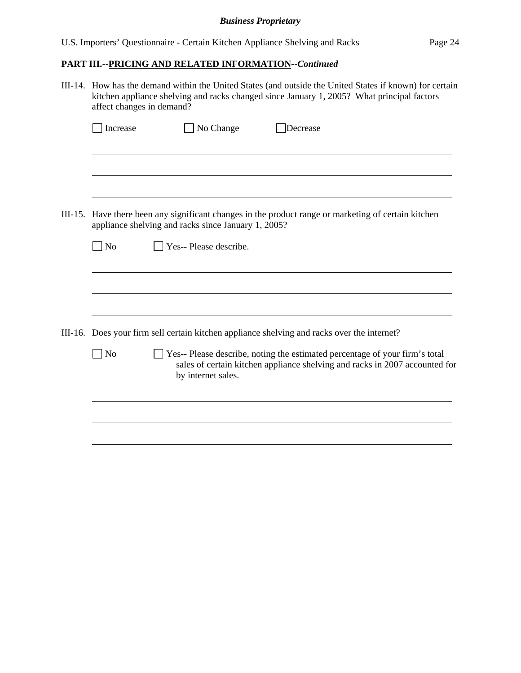# **PART III.--PRICING AND RELATED INFORMATION***--Continued*

|         | III-14. How has the demand within the United States (and outside the United States if known) for certain<br>kitchen appliance shelving and racks changed since January 1, 2005? What principal factors<br>affect changes in demand? |                        |                                                                                                                                                            |  |  |  |  |
|---------|-------------------------------------------------------------------------------------------------------------------------------------------------------------------------------------------------------------------------------------|------------------------|------------------------------------------------------------------------------------------------------------------------------------------------------------|--|--|--|--|
|         | Increase                                                                                                                                                                                                                            | No Change              | Decrease                                                                                                                                                   |  |  |  |  |
|         |                                                                                                                                                                                                                                     |                        |                                                                                                                                                            |  |  |  |  |
|         |                                                                                                                                                                                                                                     |                        |                                                                                                                                                            |  |  |  |  |
| III-15. | Have there been any significant changes in the product range or marketing of certain kitchen<br>appliance shelving and racks since January 1, 2005?                                                                                 |                        |                                                                                                                                                            |  |  |  |  |
|         | $\overline{\phantom{1}}$ No                                                                                                                                                                                                         | Yes-- Please describe. |                                                                                                                                                            |  |  |  |  |
|         |                                                                                                                                                                                                                                     |                        |                                                                                                                                                            |  |  |  |  |
|         |                                                                                                                                                                                                                                     |                        |                                                                                                                                                            |  |  |  |  |
|         |                                                                                                                                                                                                                                     |                        | III-16. Does your firm sell certain kitchen appliance shelving and racks over the internet?                                                                |  |  |  |  |
|         | $\log$                                                                                                                                                                                                                              | by internet sales.     | Yes-- Please describe, noting the estimated percentage of your firm's total<br>sales of certain kitchen appliance shelving and racks in 2007 accounted for |  |  |  |  |
|         |                                                                                                                                                                                                                                     |                        |                                                                                                                                                            |  |  |  |  |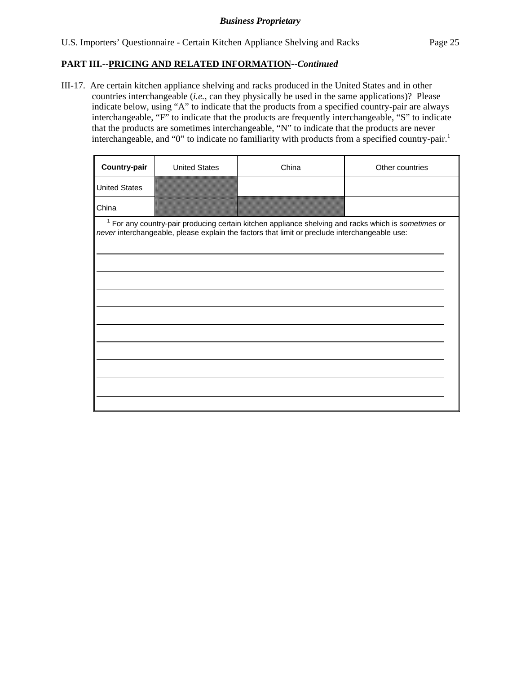III-17. Are certain kitchen appliance shelving and racks produced in the United States and in other countries interchangeable (*i.e.*, can they physically be used in the same applications)? Please indicate below, using "A" to indicate that the products from a specified country-pair are always interchangeable, "F" to indicate that the products are frequently interchangeable, "S" to indicate that the products are sometimes interchangeable, "N" to indicate that the products are never interchangeable, and "0" to indicate no familiarity with products from a specified country-pair.<sup>1</sup>

| <b>Country-pair</b>  | <b>United States</b> | China                                                                                                                                                                                                           | Other countries |
|----------------------|----------------------|-----------------------------------------------------------------------------------------------------------------------------------------------------------------------------------------------------------------|-----------------|
| <b>United States</b> |                      |                                                                                                                                                                                                                 |                 |
| China                |                      |                                                                                                                                                                                                                 |                 |
|                      |                      | <sup>1</sup> For any country-pair producing certain kitchen appliance shelving and racks which is sometimes or<br>never interchangeable, please explain the factors that limit or preclude interchangeable use: |                 |
|                      |                      |                                                                                                                                                                                                                 |                 |
|                      |                      |                                                                                                                                                                                                                 |                 |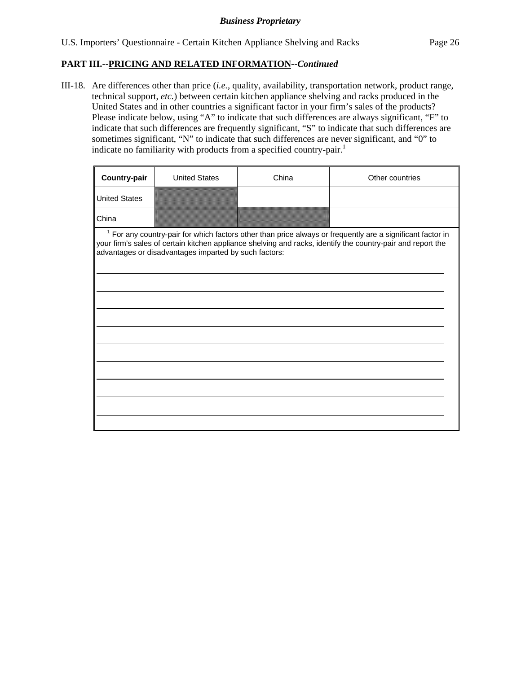III-18. Are differences other than price (*i.e.*, quality, availability, transportation network, product range, technical support, *etc.*) between certain kitchen appliance shelving and racks produced in the United States and in other countries a significant factor in your firm's sales of the products? Please indicate below, using "A" to indicate that such differences are always significant, "F" to indicate that such differences are frequently significant, "S" to indicate that such differences are sometimes significant, "N" to indicate that such differences are never significant, and "0" to indicate no familiarity with products from a specified country-pair.<sup>1</sup>

| <b>United States</b>                                                                                                                                                                                                                                                                          | China | Other countries |  |  |  |
|-----------------------------------------------------------------------------------------------------------------------------------------------------------------------------------------------------------------------------------------------------------------------------------------------|-------|-----------------|--|--|--|
|                                                                                                                                                                                                                                                                                               |       |                 |  |  |  |
|                                                                                                                                                                                                                                                                                               |       |                 |  |  |  |
| China<br>$1$ For any country-pair for which factors other than price always or frequently are a significant factor in<br>your firm's sales of certain kitchen appliance shelving and racks, identify the country-pair and report the<br>advantages or disadvantages imparted by such factors: |       |                 |  |  |  |
|                                                                                                                                                                                                                                                                                               |       |                 |  |  |  |
|                                                                                                                                                                                                                                                                                               |       |                 |  |  |  |